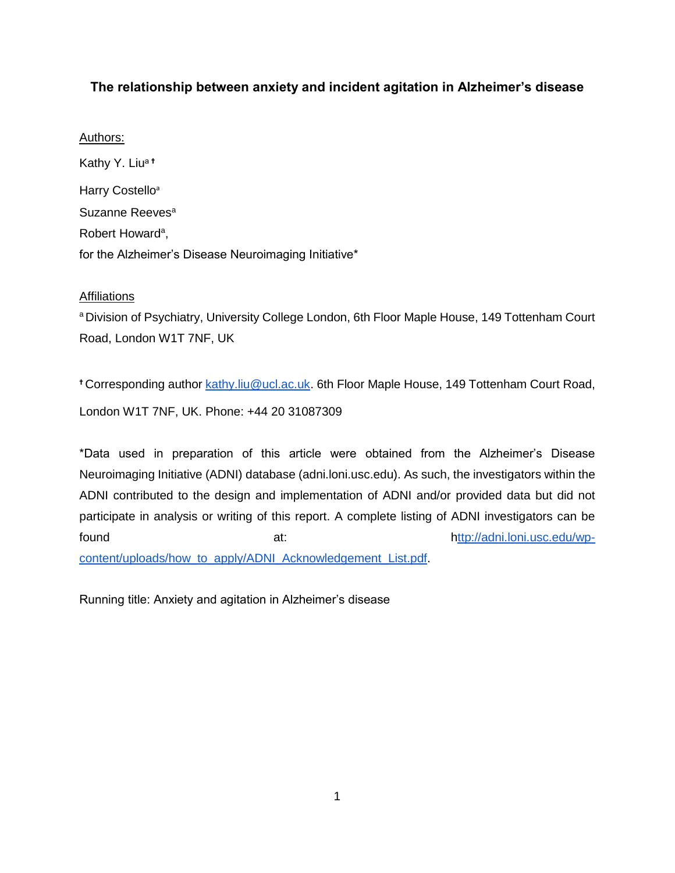# **The relationship between anxiety and incident agitation in Alzheimer's disease**

## Authors:

Kathy Y. Liua<sup>t</sup> Harry Costello<sup>a</sup> Suzanne Reeves<sup>a</sup> Robert Howard<sup>a</sup>, for the Alzheimer's Disease Neuroimaging Initiative\*

## **Affiliations**

a Division of Psychiatry, University College London, 6th Floor Maple House, 149 Tottenham Court Road, London W1T 7NF, UK

<sup>+</sup> Corresponding author **kathy.liu@ucl.ac.uk.** 6th Floor Maple House, 149 Tottenham Court Road, London W1T 7NF, UK. Phone: +44 20 31087309

\*Data used in preparation of this article were obtained from the Alzheimer's Disease Neuroimaging Initiative (ADNI) database (adni.loni.usc.edu). As such, the investigators within the ADNI contributed to the design and implementation of ADNI and/or provided data but did not participate in analysis or writing of this report. A complete listing of ADNI investigators can be found at: [http://adni.loni.usc.edu/wp](http://adni.loni.usc.edu/wp-content/uploads/how_to_apply/ADNI_Acknowledgement_List.pdf)[content/uploads/how\\_to\\_apply/ADNI\\_Acknowledgement\\_List.pdf.](http://adni.loni.usc.edu/wp-content/uploads/how_to_apply/ADNI_Acknowledgement_List.pdf)

Running title: Anxiety and agitation in Alzheimer's disease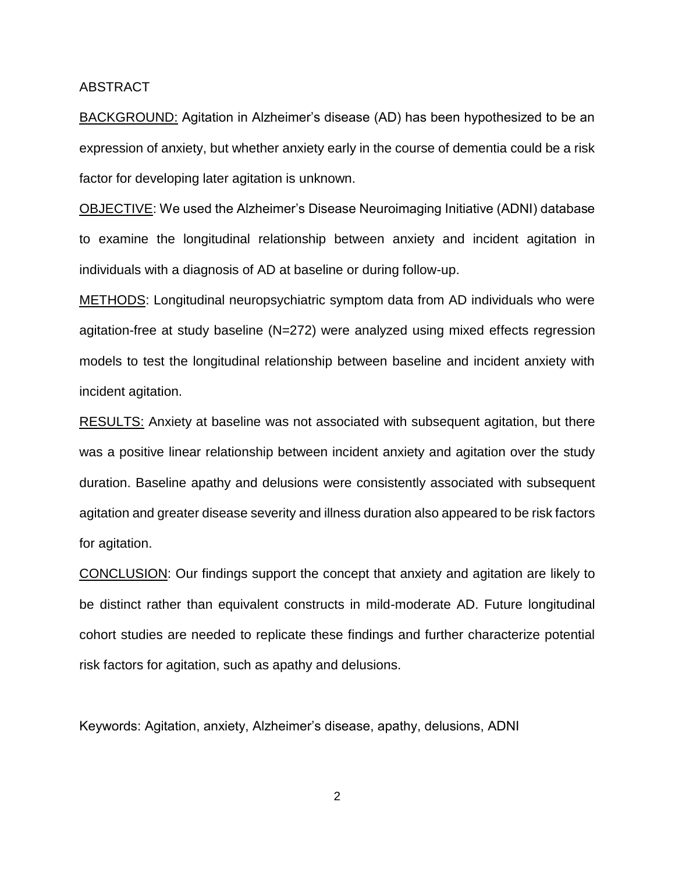### ABSTRACT

BACKGROUND: Agitation in Alzheimer's disease (AD) has been hypothesized to be an expression of anxiety, but whether anxiety early in the course of dementia could be a risk factor for developing later agitation is unknown.

OBJECTIVE: We used the Alzheimer's Disease Neuroimaging Initiative (ADNI) database to examine the longitudinal relationship between anxiety and incident agitation in individuals with a diagnosis of AD at baseline or during follow-up.

METHODS: Longitudinal neuropsychiatric symptom data from AD individuals who were agitation-free at study baseline (N=272) were analyzed using mixed effects regression models to test the longitudinal relationship between baseline and incident anxiety with incident agitation.

RESULTS: Anxiety at baseline was not associated with subsequent agitation, but there was a positive linear relationship between incident anxiety and agitation over the study duration. Baseline apathy and delusions were consistently associated with subsequent agitation and greater disease severity and illness duration also appeared to be risk factors for agitation.

CONCLUSION: Our findings support the concept that anxiety and agitation are likely to be distinct rather than equivalent constructs in mild-moderate AD. Future longitudinal cohort studies are needed to replicate these findings and further characterize potential risk factors for agitation, such as apathy and delusions.

Keywords: Agitation, anxiety, Alzheimer's disease, apathy, delusions, ADNI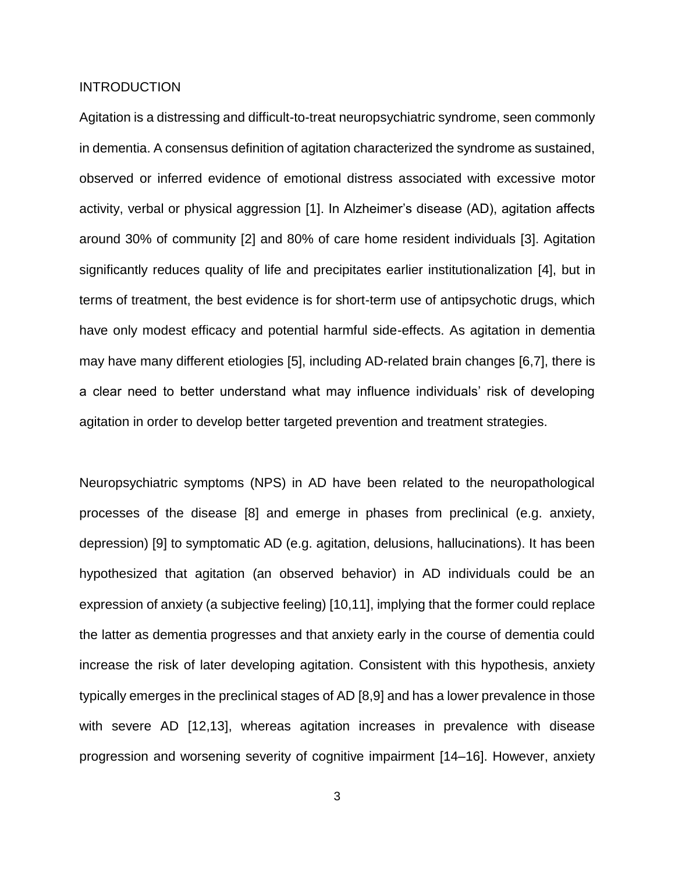## **INTRODUCTION**

Agitation is a distressing and difficult-to-treat neuropsychiatric syndrome, seen commonly in dementia. A consensus definition of agitation characterized the syndrome as sustained, observed or inferred evidence of emotional distress associated with excessive motor activity, verbal or physical aggression [\[1\].](https://paperpile.com/c/h2crtm/BTmC8) In Alzheimer's disease (AD), agitation affects around 30% of community [\[2\]](https://paperpile.com/c/h2crtm/0HaTX) and 80% of care home resident individuals [\[3\].](https://paperpile.com/c/h2crtm/55IAg) Agitation significantly reduces quality of life and precipitates earlier institutionalization [\[4\],](https://paperpile.com/c/h2crtm/mEplV) but in terms of treatment, the best evidence is for short-term use of antipsychotic drugs, which have only modest efficacy and potential harmful side-effects. As agitation in dementia may have many different etiologies [\[5\],](https://paperpile.com/c/h2crtm/licFg) including AD-related brain changes [\[6,7\],](https://paperpile.com/c/h2crtm/EXycF+y9Bmy) there is a clear need to better understand what may influence individuals' risk of developing agitation in order to develop better targeted prevention and treatment strategies.

Neuropsychiatric symptoms (NPS) in AD have been related to the neuropathological processes of the disease [\[8\]](https://paperpile.com/c/h2crtm/FYvEP) and emerge in phases from preclinical (e.g. anxiety, depression) [\[9\]](https://paperpile.com/c/h2crtm/PSgcW) to symptomatic AD (e.g. agitation, delusions, hallucinations). It has been hypothesized that agitation (an observed behavior) in AD individuals could be an expression of anxiety (a subjective feeling) [\[10,11\],](https://paperpile.com/c/h2crtm/XA0Qy+2wMGS) implying that the former could replace the latter as dementia progresses and that anxiety early in the course of dementia could increase the risk of later developing agitation. Consistent with this hypothesis, anxiety typically emerges in the preclinical stages of AD [\[8,9\]](https://paperpile.com/c/h2crtm/PSgcW+FYvEP) and has a lower prevalence in those with severe AD [\[12,13\],](https://paperpile.com/c/h2crtm/IoLX9+r3WXm) whereas agitation increases in prevalence with disease progression and worsening severity of cognitive impairment [\[14–16\].](https://paperpile.com/c/h2crtm/f6vpD+gzkYw+cJImH) However, anxiety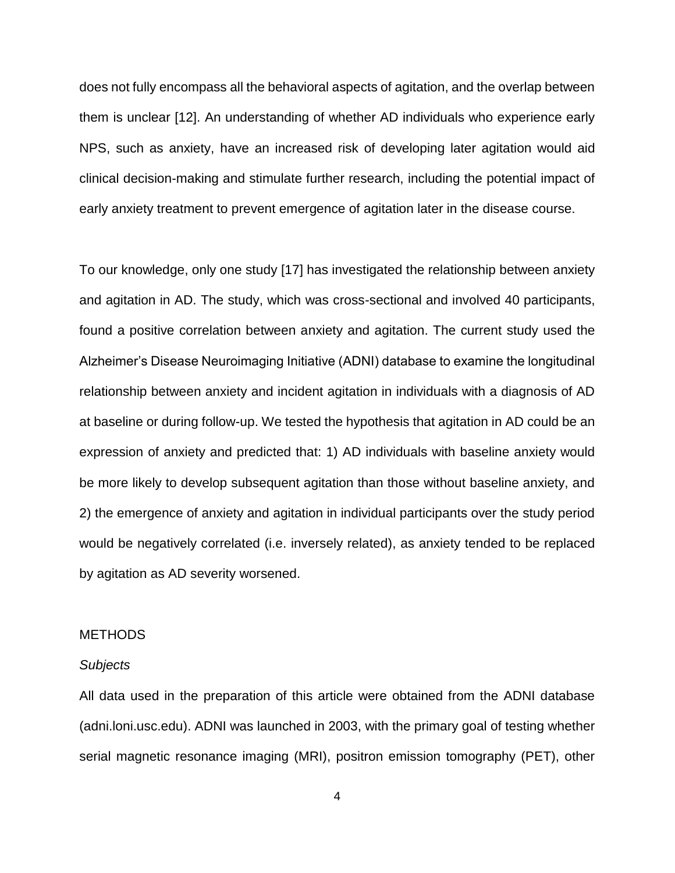does not fully encompass all the behavioral aspects of agitation, and the overlap between them is unclear [\[12\].](https://paperpile.com/c/h2crtm/IoLX9) An understanding of whether AD individuals who experience early NPS, such as anxiety, have an increased risk of developing later agitation would aid clinical decision-making and stimulate further research, including the potential impact of early anxiety treatment to prevent emergence of agitation later in the disease course.

To our knowledge, only one study [\[17\]](https://paperpile.com/c/h2crtm/i1APQ) has investigated the relationship between anxiety and agitation in AD. The study, which was cross-sectional and involved 40 participants, found a positive correlation between anxiety and agitation. The current study used the Alzheimer's Disease Neuroimaging Initiative (ADNI) database to examine the longitudinal relationship between anxiety and incident agitation in individuals with a diagnosis of AD at baseline or during follow-up. We tested the hypothesis that agitation in AD could be an expression of anxiety and predicted that: 1) AD individuals with baseline anxiety would be more likely to develop subsequent agitation than those without baseline anxiety, and 2) the emergence of anxiety and agitation in individual participants over the study period would be negatively correlated (i.e. inversely related), as anxiety tended to be replaced by agitation as AD severity worsened.

### **METHODS**

#### *Subjects*

All data used in the preparation of this article were obtained from the ADNI database (adni.loni.usc.edu). ADNI was launched in 2003, with the primary goal of testing whether serial magnetic resonance imaging (MRI), positron emission tomography (PET), other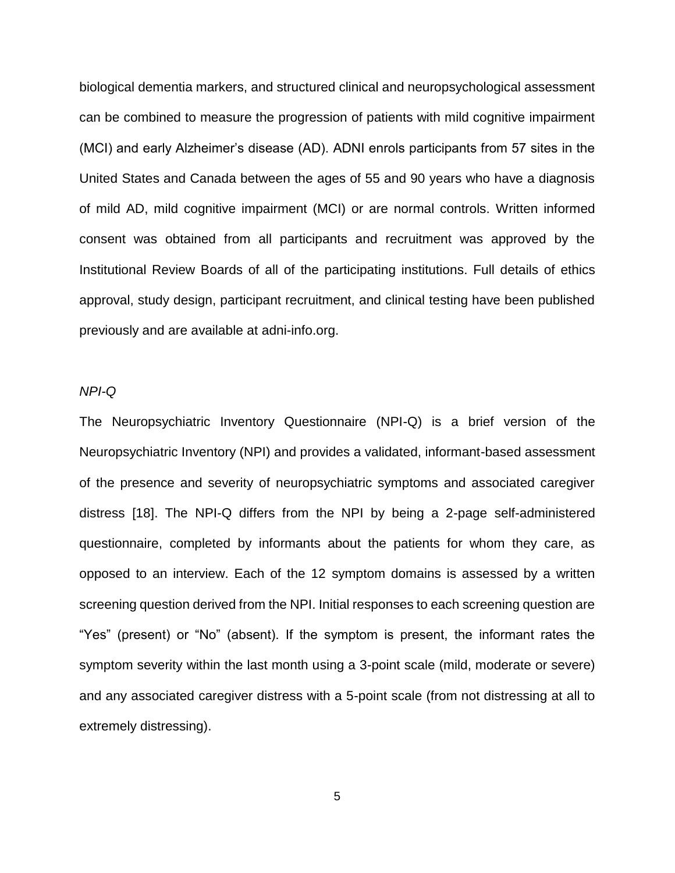biological dementia markers, and structured clinical and neuropsychological assessment can be combined to measure the progression of patients with mild cognitive impairment (MCI) and early Alzheimer's disease (AD). ADNI enrols participants from 57 sites in the United States and Canada between the ages of 55 and 90 years who have a diagnosis of mild AD, mild cognitive impairment (MCI) or are normal controls. Written informed consent was obtained from all participants and recruitment was approved by the Institutional Review Boards of all of the participating institutions. Full details of ethics approval, study design, participant recruitment, and clinical testing have been published previously and are available at [adni-info.org](http://www.adni-info.org/).

### *NPI-Q*

The Neuropsychiatric Inventory Questionnaire (NPI-Q) is a brief version of the Neuropsychiatric Inventory (NPI) and provides a validated, informant-based assessment of the presence and severity of neuropsychiatric symptoms and associated caregiver distress [\[18\].](https://paperpile.com/c/h2crtm/5kXuM) The NPI-Q differs from the NPI by being a 2-page self-administered questionnaire, completed by informants about the patients for whom they care, as opposed to an interview. Each of the 12 symptom domains is assessed by a written screening question derived from the NPI. Initial responses to each screening question are "Yes" (present) or "No" (absent). If the symptom is present, the informant rates the symptom severity within the last month using a 3-point scale (mild, moderate or severe) and any associated caregiver distress with a 5-point scale (from not distressing at all to extremely distressing).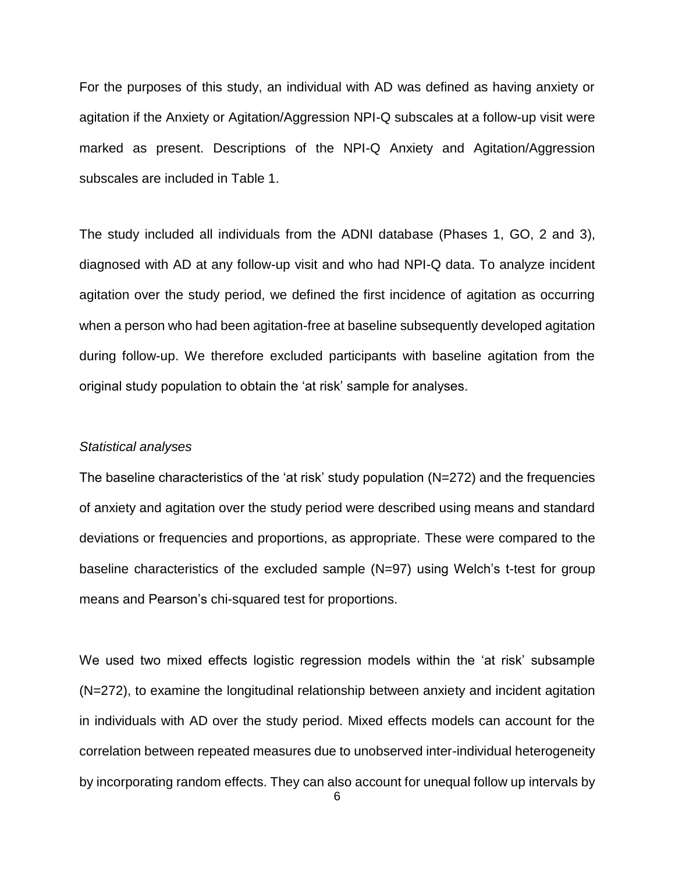For the purposes of this study, an individual with AD was defined as having anxiety or agitation if the Anxiety or Agitation/Aggression NPI-Q subscales at a follow-up visit were marked as present. Descriptions of the NPI-Q Anxiety and Agitation/Aggression subscales are included in Table 1.

The study included all individuals from the ADNI database (Phases 1, GO, 2 and 3), diagnosed with AD at any follow-up visit and who had NPI-Q data. To analyze incident agitation over the study period, we defined the first incidence of agitation as occurring when a person who had been agitation-free at baseline subsequently developed agitation during follow-up. We therefore excluded participants with baseline agitation from the original study population to obtain the 'at risk' sample for analyses.

#### *Statistical analyses*

The baseline characteristics of the 'at risk' study population (N=272) and the frequencies of anxiety and agitation over the study period were described using means and standard deviations or frequencies and proportions, as appropriate. These were compared to the baseline characteristics of the excluded sample (N=97) using Welch's t-test for group means and Pearson's chi-squared test for proportions.

We used two mixed effects logistic regression models within the 'at risk' subsample (N=272), to examine the longitudinal relationship between anxiety and incident agitation in individuals with AD over the study period. Mixed effects models can account for the correlation between repeated measures due to unobserved inter-individual heterogeneity by incorporating random effects. They can also account for unequal follow up intervals by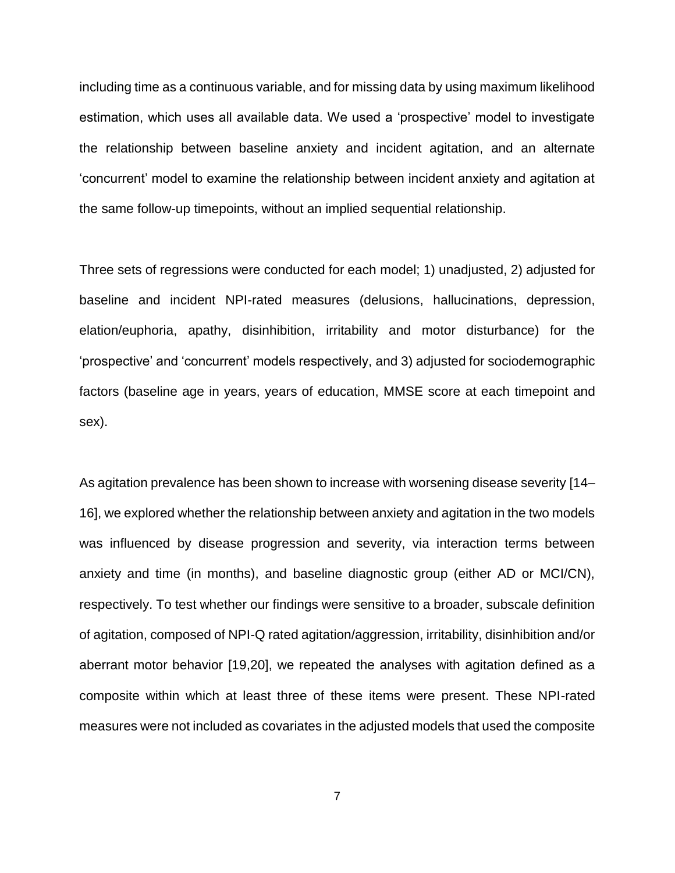including time as a continuous variable, and for missing data by using maximum likelihood estimation, which uses all available data. We used a 'prospective' model to investigate the relationship between baseline anxiety and incident agitation, and an alternate 'concurrent' model to examine the relationship between incident anxiety and agitation at the same follow-up timepoints, without an implied sequential relationship.

Three sets of regressions were conducted for each model; 1) unadjusted, 2) adjusted for baseline and incident NPI-rated measures (delusions, hallucinations, depression, elation/euphoria, apathy, disinhibition, irritability and motor disturbance) for the 'prospective' and 'concurrent' models respectively, and 3) adjusted for sociodemographic factors (baseline age in years, years of education, MMSE score at each timepoint and sex).

As agitation prevalence has been shown to increase with worsening disease severity [\[14–](https://paperpile.com/c/h2crtm/f6vpD+gzkYw+cJImH) [16\],](https://paperpile.com/c/h2crtm/f6vpD+gzkYw+cJImH) we explored whether the relationship between anxiety and agitation in the two models was influenced by disease progression and severity, via interaction terms between anxiety and time (in months), and baseline diagnostic group (either AD or MCI/CN), respectively. To test whether our findings were sensitive to a broader, subscale definition of agitation, composed of NPI-Q rated agitation/aggression, irritability, disinhibition and/or aberrant motor behavior [\[19,20\],](https://paperpile.com/c/h2crtm/qDlG5+0u2zV) we repeated the analyses with agitation defined as a composite within which at least three of these items were present. These NPI-rated measures were not included as covariates in the adjusted models that used the composite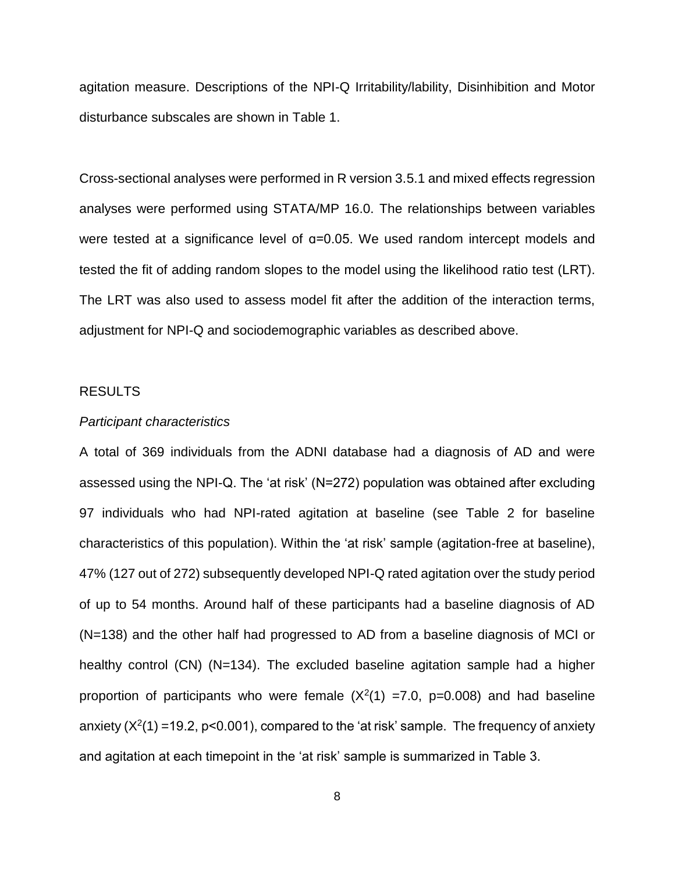agitation measure. Descriptions of the NPI-Q Irritability/lability, Disinhibition and Motor disturbance subscales are shown in Table 1.

Cross-sectional analyses were performed in R version 3.5.1 and mixed effects regression analyses were performed using STATA/MP 16.0. The relationships between variables were tested at a significance level of  $a=0.05$ . We used random intercept models and tested the fit of adding random slopes to the model using the likelihood ratio test (LRT). The LRT was also used to assess model fit after the addition of the interaction terms, adjustment for NPI-Q and sociodemographic variables as described above.

#### RESULTS

#### *Participant characteristics*

A total of 369 individuals from the ADNI database had a diagnosis of AD and were assessed using the NPI-Q. The 'at risk' (N=272) population was obtained after excluding 97 individuals who had NPI-rated agitation at baseline (see Table 2 for baseline characteristics of this population). Within the 'at risk' sample (agitation-free at baseline), 47% (127 out of 272) subsequently developed NPI-Q rated agitation over the study period of up to 54 months. Around half of these participants had a baseline diagnosis of AD (N=138) and the other half had progressed to AD from a baseline diagnosis of MCI or healthy control (CN) (N=134). The excluded baseline agitation sample had a higher proportion of participants who were female  $(X<sup>2</sup>(1) = 7.0, p=0.008)$  and had baseline anxiety  $(X^2(1) = 19.2, p<0.001)$ , compared to the 'at risk' sample. The frequency of anxiety and agitation at each timepoint in the 'at risk' sample is summarized in Table 3.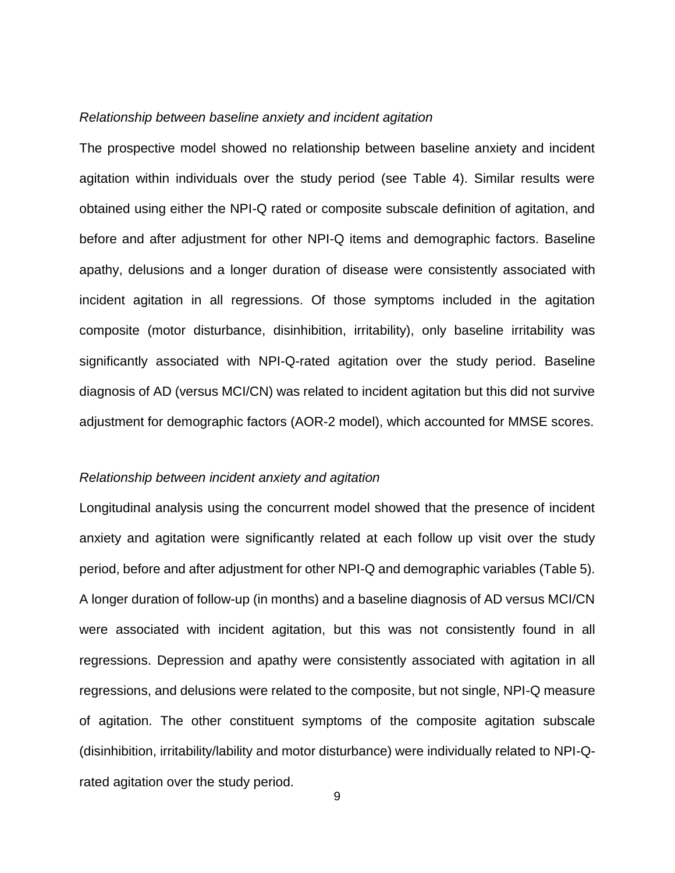### *Relationship between baseline anxiety and incident agitation*

The prospective model showed no relationship between baseline anxiety and incident agitation within individuals over the study period (see Table 4). Similar results were obtained using either the NPI-Q rated or composite subscale definition of agitation, and before and after adjustment for other NPI-Q items and demographic factors. Baseline apathy, delusions and a longer duration of disease were consistently associated with incident agitation in all regressions. Of those symptoms included in the agitation composite (motor disturbance, disinhibition, irritability), only baseline irritability was significantly associated with NPI-Q-rated agitation over the study period. Baseline diagnosis of AD (versus MCI/CN) was related to incident agitation but this did not survive adjustment for demographic factors (AOR-2 model), which accounted for MMSE scores.

#### *Relationship between incident anxiety and agitation*

Longitudinal analysis using the concurrent model showed that the presence of incident anxiety and agitation were significantly related at each follow up visit over the study period, before and after adjustment for other NPI-Q and demographic variables (Table 5). A longer duration of follow-up (in months) and a baseline diagnosis of AD versus MCI/CN were associated with incident agitation, but this was not consistently found in all regressions. Depression and apathy were consistently associated with agitation in all regressions, and delusions were related to the composite, but not single, NPI-Q measure of agitation. The other constituent symptoms of the composite agitation subscale (disinhibition, irritability/lability and motor disturbance) were individually related to NPI-Qrated agitation over the study period.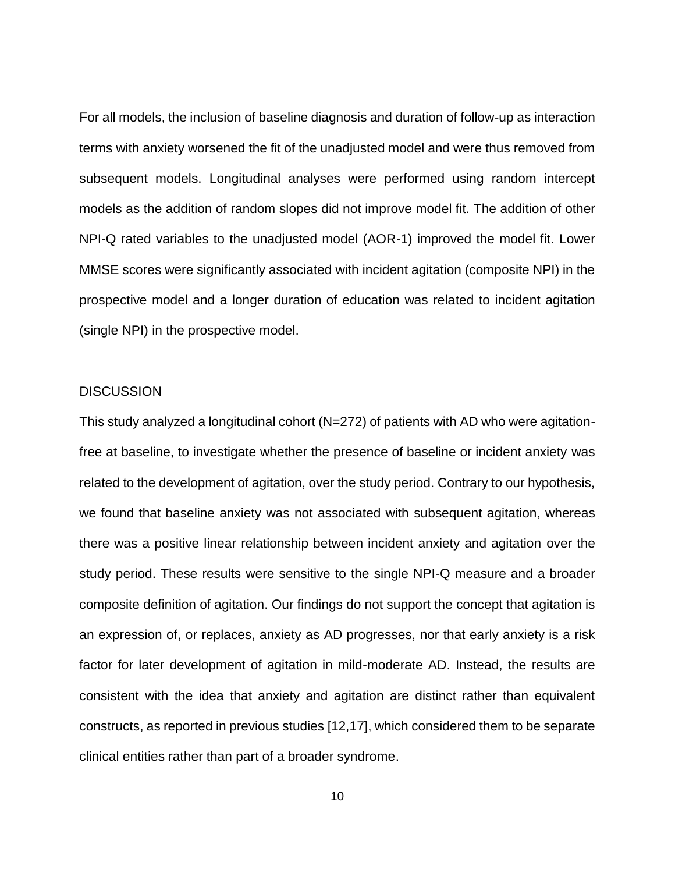For all models, the inclusion of baseline diagnosis and duration of follow-up as interaction terms with anxiety worsened the fit of the unadjusted model and were thus removed from subsequent models. Longitudinal analyses were performed using random intercept models as the addition of random slopes did not improve model fit. The addition of other NPI-Q rated variables to the unadjusted model (AOR-1) improved the model fit. Lower MMSE scores were significantly associated with incident agitation (composite NPI) in the prospective model and a longer duration of education was related to incident agitation (single NPI) in the prospective model.

#### **DISCUSSION**

This study analyzed a longitudinal cohort (N=272) of patients with AD who were agitationfree at baseline, to investigate whether the presence of baseline or incident anxiety was related to the development of agitation, over the study period. Contrary to our hypothesis, we found that baseline anxiety was not associated with subsequent agitation, whereas there was a positive linear relationship between incident anxiety and agitation over the study period. These results were sensitive to the single NPI-Q measure and a broader composite definition of agitation. Our findings do not support the concept that agitation is an expression of, or replaces, anxiety as AD progresses, nor that early anxiety is a risk factor for later development of agitation in mild-moderate AD. Instead, the results are consistent with the idea that anxiety and agitation are distinct rather than equivalent constructs, as reported in previous studies [\[12,17\],](https://paperpile.com/c/h2crtm/IoLX9+i1APQ) which considered them to be separate clinical entities rather than part of a broader syndrome.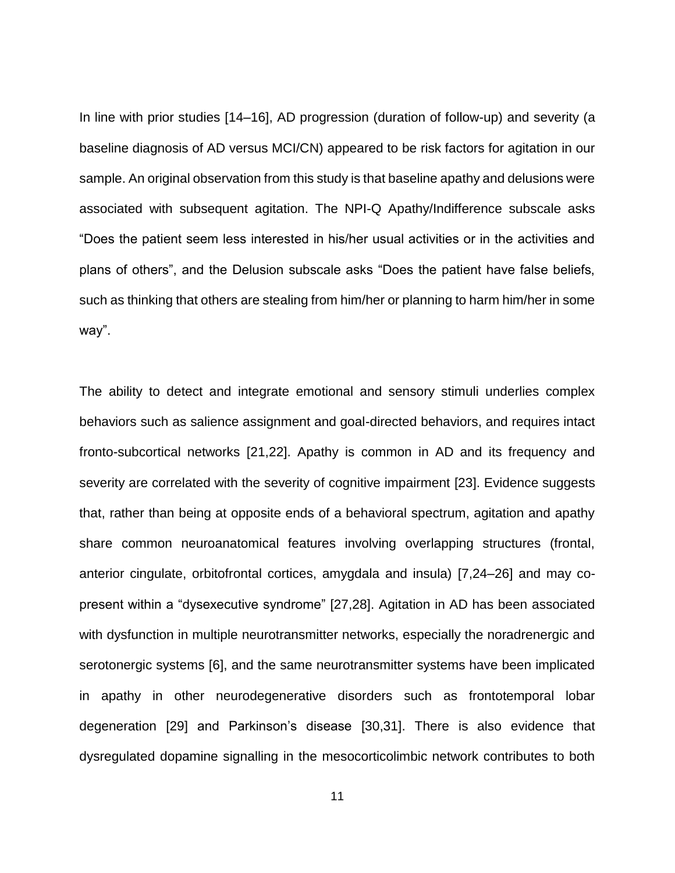In line with prior studies [\[14–16\],](https://paperpile.com/c/h2crtm/f6vpD+gzkYw+cJImH) AD progression (duration of follow-up) and severity (a baseline diagnosis of AD versus MCI/CN) appeared to be risk factors for agitation in our sample. An original observation from this study is that baseline apathy and delusions were associated with subsequent agitation. The NPI-Q Apathy/Indifference subscale asks "Does the patient seem less interested in his/her usual activities or in the activities and plans of others", and the Delusion subscale asks "Does the patient have false beliefs, such as thinking that others are stealing from him/her or planning to harm him/her in some way".

The ability to detect and integrate emotional and sensory stimuli underlies complex behaviors such as salience assignment and goal-directed behaviors, and requires intact fronto-subcortical networks [\[21,22\].](https://paperpile.com/c/h2crtm/URKh+eFIq) Apathy is common in AD and its frequency and severity are correlated with the severity of cognitive impairment [\[23\].](https://paperpile.com/c/h2crtm/qAtBP) Evidence suggests that, rather than being at opposite ends of a behavioral spectrum, agitation and apathy share common neuroanatomical features involving overlapping structures (frontal, anterior cingulate, orbitofrontal cortices, amygdala and insula) [\[7,24–26\]](https://paperpile.com/c/h2crtm/iyxuU+fzo7f+y9Bmy+TCWyg) and may copresent within a "dysexecutive syndrome" [\[27,28\].](https://paperpile.com/c/h2crtm/r30mV+u6Rf) Agitation in AD has been associated with dysfunction in multiple neurotransmitter networks, especially the noradrenergic and serotonergic systems [\[6\],](https://paperpile.com/c/h2crtm/EXycF) and the same neurotransmitter systems have been implicated in apathy in other neurodegenerative disorders such as frontotemporal lobar degeneration [\[29\]](https://paperpile.com/c/h2crtm/ywKot) and Parkinson's disease [\[30,31\].](https://paperpile.com/c/h2crtm/pRxqp+mZ89u) There is also evidence that dysregulated dopamine signalling in the mesocorticolimbic network contributes to both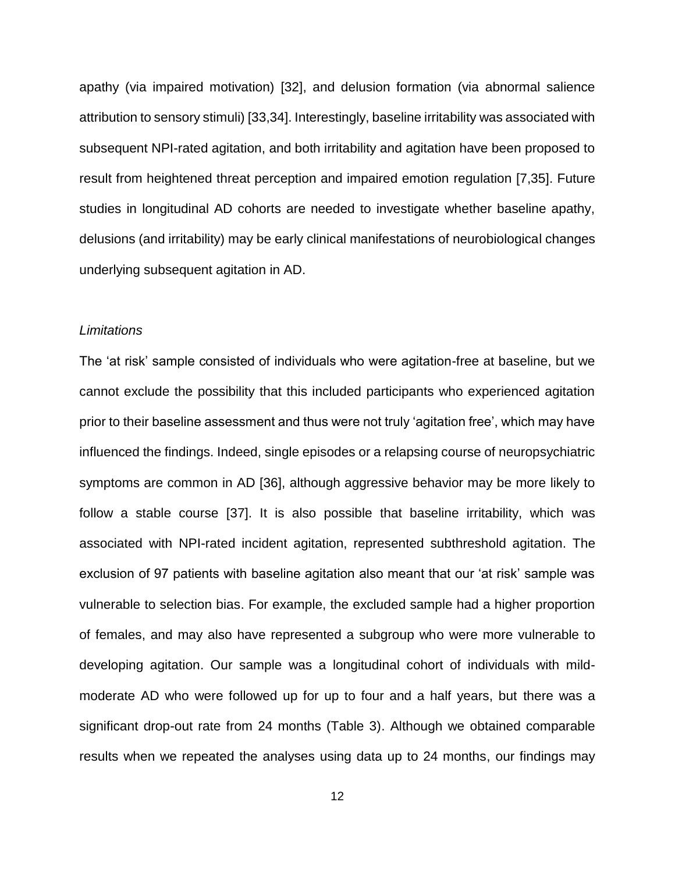apathy (via impaired motivation) [\[32\],](https://paperpile.com/c/h2crtm/UBWj) and delusion formation (via abnormal salience attribution to sensory stimuli) [\[33,34\].](https://paperpile.com/c/h2crtm/KpkD+3RjU4) Interestingly, baseline irritability was associated with subsequent NPI-rated agitation, and both irritability and agitation have been proposed to result from heightened threat perception and impaired emotion regulation [\[7,35\].](https://paperpile.com/c/h2crtm/y9Bmy+D9q5) Future studies in longitudinal AD cohorts are needed to investigate whether baseline apathy, delusions (and irritability) may be early clinical manifestations of neurobiological changes underlying subsequent agitation in AD.

## *Limitations*

The 'at risk' sample consisted of individuals who were agitation-free at baseline, but we cannot exclude the possibility that this included participants who experienced agitation prior to their baseline assessment and thus were not truly 'agitation free', which may have influenced the findings. Indeed, single episodes or a relapsing course of neuropsychiatric symptoms are common in AD [\[36\],](https://paperpile.com/c/h2crtm/QnRfq) although aggressive behavior may be more likely to follow a stable course [\[37\].](https://paperpile.com/c/h2crtm/eJ16W) It is also possible that baseline irritability, which was associated with NPI-rated incident agitation, represented subthreshold agitation. The exclusion of 97 patients with baseline agitation also meant that our 'at risk' sample was vulnerable to selection bias. For example, the excluded sample had a higher proportion of females, and may also have represented a subgroup who were more vulnerable to developing agitation. Our sample was a longitudinal cohort of individuals with mildmoderate AD who were followed up for up to four and a half years, but there was a significant drop-out rate from 24 months (Table 3). Although we obtained comparable results when we repeated the analyses using data up to 24 months, our findings may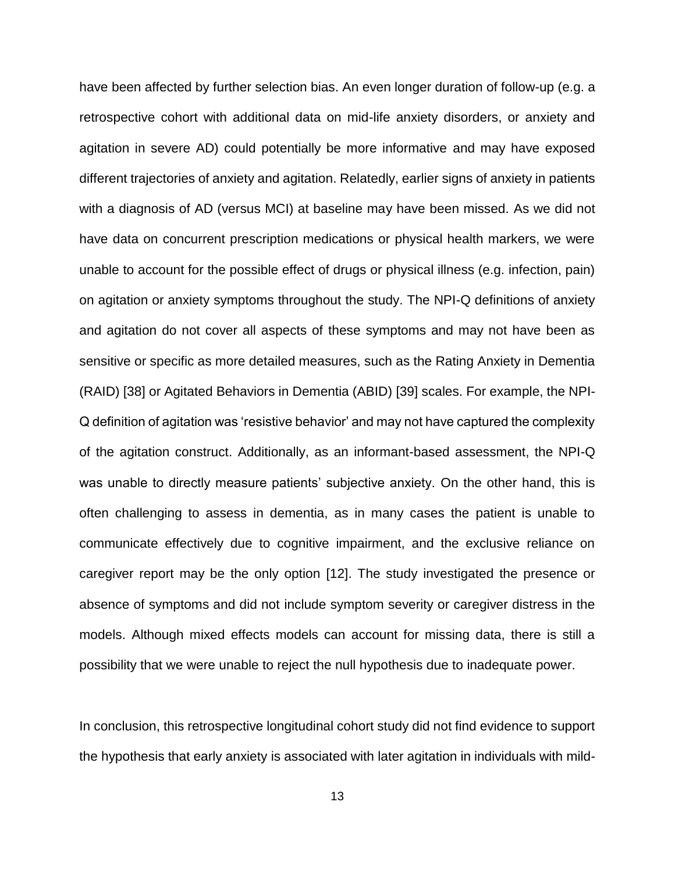have been affected by further selection bias. An even longer duration of follow-up (e.g. a retrospective cohort with additional data on mid-life anxiety disorders, or anxiety and agitation in severe AD) could potentially be more informative and may have exposed different trajectories of anxiety and agitation. Relatedly, earlier signs of anxiety in patients with a diagnosis of AD (versus MCI) at baseline may have been missed. As we did not have data on concurrent prescription medications or physical health markers, we were unable to account for the possible effect of drugs or physical illness (e.g. infection, pain) on agitation or anxiety symptoms throughout the study. The NPI-Q definitions of anxiety and agitation do not cover all aspects of these symptoms and may not have been as sensitive or specific as more detailed measures, such as the Rating Anxiety in Dementia (RAID) [\[38\]](https://paperpile.com/c/h2crtm/AaNge) or Agitated Behaviors in Dementia (ABID) [\[39\]](https://paperpile.com/c/h2crtm/Jq2oJ) scales. For example, the NPI-Q definition of agitation was 'resistive behavior' and may not have captured the complexity of the agitation construct. Additionally, as an informant-based assessment, the NPI-Q was unable to directly measure patients' subjective anxiety. On the other hand, this is often challenging to assess in dementia, as in many cases the patient is unable to communicate effectively due to cognitive impairment, and the exclusive reliance on caregiver report may be the only option [\[12\].](https://paperpile.com/c/h2crtm/IoLX9+i1APQ) The study investigated the presence or absence of symptoms and did not include symptom severity or caregiver distress in the models. Although mixed effects models can account for missing data, there is still a possibility that we were unable to reject the null hypothesis due to inadequate power.

In conclusion, this retrospective longitudinal cohort study did not find evidence to support the hypothesis that early anxiety is associated with later agitation in individuals with mild-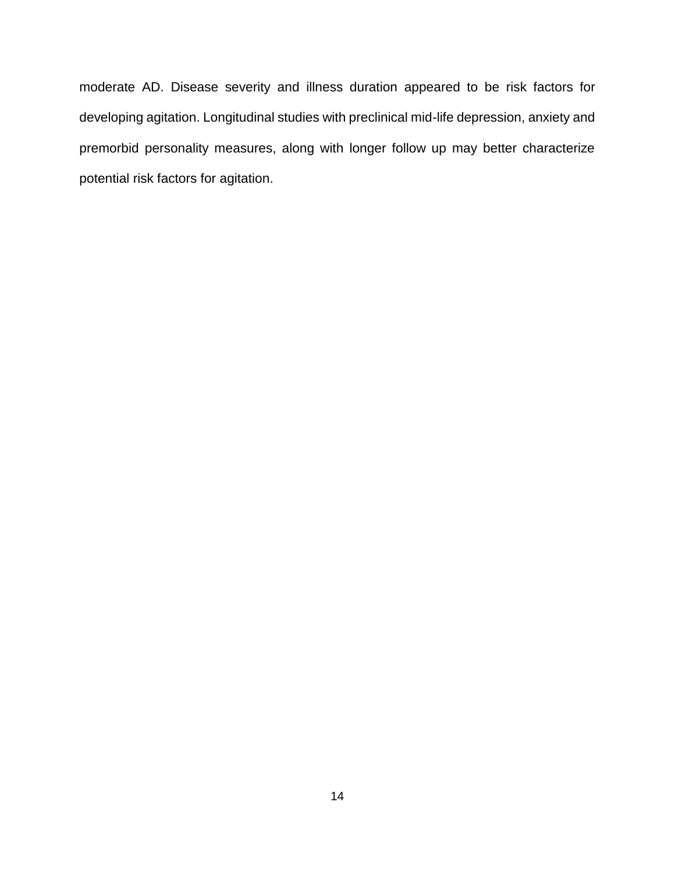moderate AD. Disease severity and illness duration appeared to be risk factors for developing agitation. Longitudinal studies with preclinical mid-life depression, anxiety and premorbid personality measures, along with longer follow up may better characterize potential risk factors for agitation.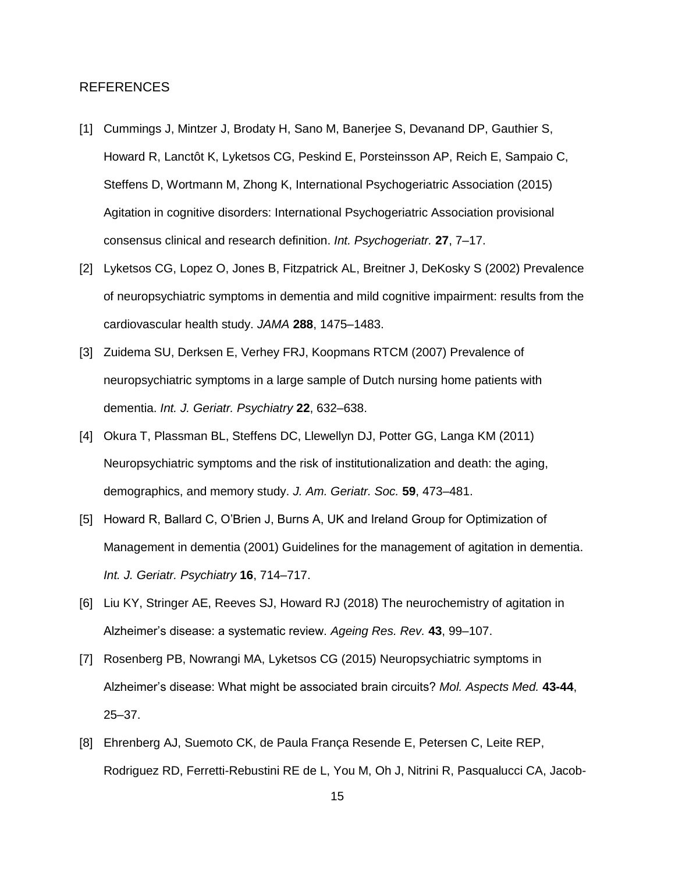#### REFERENCES

- [1] [Cummings J, Mintzer J, Brodaty H, Sano M, Banerjee S, Devanand DP, Gauthier S,](http://paperpile.com/b/h2crtm/BTmC8)  [Howard R, Lanctôt K, Lyketsos CG, Peskind E, Porsteinsson AP, Reich E, Sampaio C,](http://paperpile.com/b/h2crtm/BTmC8)  [Steffens D, Wortmann M, Zhong K, International Psychogeriatric Association \(2015\)](http://paperpile.com/b/h2crtm/BTmC8)  [Agitation in cognitive disorders: International Psychogeriatric Association provisional](http://paperpile.com/b/h2crtm/BTmC8)  [consensus clinical and research definition.](http://paperpile.com/b/h2crtm/BTmC8) *[Int. Psychogeriatr.](http://paperpile.com/b/h2crtm/BTmC8)* **[27](http://paperpile.com/b/h2crtm/BTmC8)**[, 7–17.](http://paperpile.com/b/h2crtm/BTmC8)
- [2] Lyketsos CG, Lopez O, Jones B, [Fitzpatrick AL, Breitner J, DeKosky S \(2002\) Prevalence](http://paperpile.com/b/h2crtm/0HaTX)  [of neuropsychiatric symptoms in dementia and mild cognitive impairment: results from the](http://paperpile.com/b/h2crtm/0HaTX)  [cardiovascular health study.](http://paperpile.com/b/h2crtm/0HaTX) *[JAMA](http://paperpile.com/b/h2crtm/0HaTX)* **[288](http://paperpile.com/b/h2crtm/0HaTX)**[, 1475–1483.](http://paperpile.com/b/h2crtm/0HaTX)
- [3] [Zuidema SU, Derksen E, Verhey FRJ, Koopmans RTCM \(2007\) Prevalence of](http://paperpile.com/b/h2crtm/55IAg)  [neuropsychiatric symptoms in a large sample of Dutch nursing home patients with](http://paperpile.com/b/h2crtm/55IAg)  [dementia.](http://paperpile.com/b/h2crtm/55IAg) *[Int. J. Geriatr. Psychiatry](http://paperpile.com/b/h2crtm/55IAg)* **[22](http://paperpile.com/b/h2crtm/55IAg)**[, 632–638.](http://paperpile.com/b/h2crtm/55IAg)
- [4] [Okura T, Plassman BL, Steffens DC, Llewellyn DJ, Potter GG, Langa KM \(2011\)](http://paperpile.com/b/h2crtm/mEplV)  [Neuropsychiatric symptoms and the risk of institutionalization and death: the aging,](http://paperpile.com/b/h2crtm/mEplV)  [demographics, and memory study.](http://paperpile.com/b/h2crtm/mEplV) *[J. Am. Geriatr. Soc.](http://paperpile.com/b/h2crtm/mEplV)* **[59](http://paperpile.com/b/h2crtm/mEplV)**[, 473–481.](http://paperpile.com/b/h2crtm/mEplV)
- [5] [Howard R, Ballard C, O'Brien J, Burns A, UK and Ireland Group for Optimization of](http://paperpile.com/b/h2crtm/licFg)  [Management in dementia \(2001\) Guidelines for the management of agitation in dementia.](http://paperpile.com/b/h2crtm/licFg)  *[Int. J. Geriatr. Psychiatry](http://paperpile.com/b/h2crtm/licFg)* **[16](http://paperpile.com/b/h2crtm/licFg)**[, 714–717.](http://paperpile.com/b/h2crtm/licFg)
- [6] [Liu KY, Stringer AE, Reeves SJ, Howard RJ \(2018\) The neurochemistry of agitation in](http://paperpile.com/b/h2crtm/EXycF)  [Alzheimer's disease: a systematic review.](http://paperpile.com/b/h2crtm/EXycF) *[Ageing Res. Rev.](http://paperpile.com/b/h2crtm/EXycF)* **[43](http://paperpile.com/b/h2crtm/EXycF)**[, 99–107.](http://paperpile.com/b/h2crtm/EXycF)
- [7] [Rosenberg PB, Nowrangi MA, Lyketsos CG \(2015\) Neuropsychiatric symptoms in](http://paperpile.com/b/h2crtm/y9Bmy)  [Alzheimer's disease: What might be associated brain circuits?](http://paperpile.com/b/h2crtm/y9Bmy) *[Mol. Aspects Med.](http://paperpile.com/b/h2crtm/y9Bmy)* **[43-44](http://paperpile.com/b/h2crtm/y9Bmy)**[,](http://paperpile.com/b/h2crtm/y9Bmy)  [25–37.](http://paperpile.com/b/h2crtm/y9Bmy)
- [8] [Ehrenberg AJ, Suemoto CK, de Paula França Resende E, Petersen C, Leite REP,](http://paperpile.com/b/h2crtm/FYvEP)  [Rodriguez RD, Ferretti-Rebustini RE de L, You M, Oh J, Nitrini R, Pasqualucci CA, Jacob-](http://paperpile.com/b/h2crtm/FYvEP)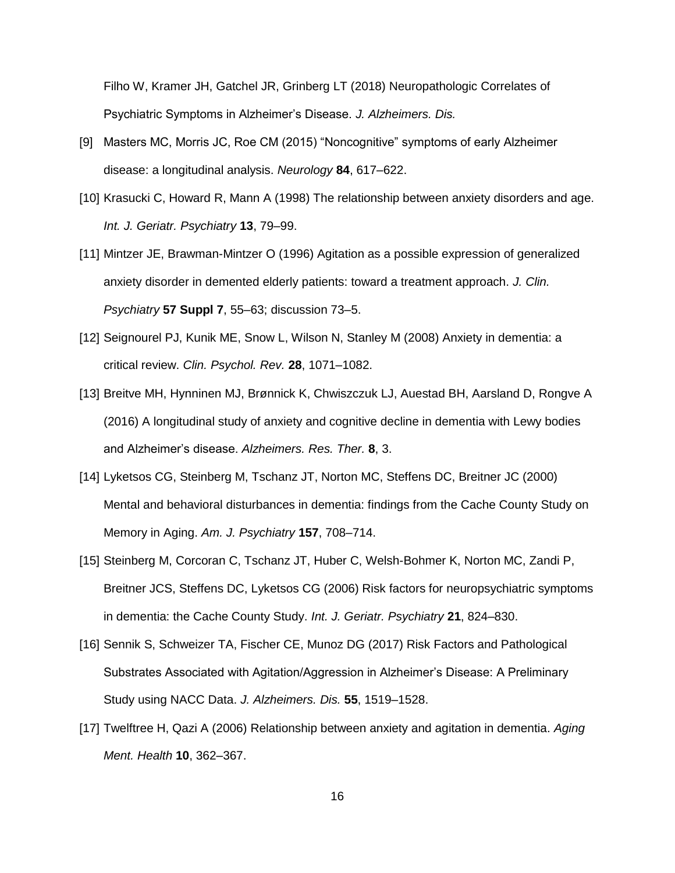[Filho W, Kramer JH, Gatchel JR, Grinberg LT \(2018\) Neuropathologic Correlates of](http://paperpile.com/b/h2crtm/FYvEP)  [Psychiatric Symptoms in Alzheimer's Disease.](http://paperpile.com/b/h2crtm/FYvEP) *[J. Alzheimers. Dis.](http://paperpile.com/b/h2crtm/FYvEP)*

- [9] [Masters MC, Morris JC, Roe CM \(2015\) "Noncognitive" symptoms of early Alzheimer](http://paperpile.com/b/h2crtm/PSgcW)  [disease: a longitudinal analysis.](http://paperpile.com/b/h2crtm/PSgcW) *[Neurology](http://paperpile.com/b/h2crtm/PSgcW)* **[84](http://paperpile.com/b/h2crtm/PSgcW)**[, 617–622.](http://paperpile.com/b/h2crtm/PSgcW)
- [10] Krasucki C, Howard [R, Mann A \(1998\) The relationship between anxiety disorders and age.](http://paperpile.com/b/h2crtm/XA0Qy)  *[Int. J. Geriatr. Psychiatry](http://paperpile.com/b/h2crtm/XA0Qy)* **[13](http://paperpile.com/b/h2crtm/XA0Qy)**[, 79–99.](http://paperpile.com/b/h2crtm/XA0Qy)
- [11] [Mintzer JE, Brawman-Mintzer O \(1996\) Agitation as a possible expression of generalized](http://paperpile.com/b/h2crtm/2wMGS)  [anxiety disorder in demented elderly patients: toward a treatment approach.](http://paperpile.com/b/h2crtm/2wMGS) *[J. Clin.](http://paperpile.com/b/h2crtm/2wMGS)  [Psychiatry](http://paperpile.com/b/h2crtm/2wMGS)* **[57 Suppl 7](http://paperpile.com/b/h2crtm/2wMGS)**[, 55–63; discussion 73–5.](http://paperpile.com/b/h2crtm/2wMGS)
- [12] [Seignourel PJ, Kunik ME, Snow L, Wilson N, Stanley M \(2008\) Anxiety in dementia: a](http://paperpile.com/b/h2crtm/IoLX9)  [critical review.](http://paperpile.com/b/h2crtm/IoLX9) *[Clin. Psychol. Rev.](http://paperpile.com/b/h2crtm/IoLX9)* **[28](http://paperpile.com/b/h2crtm/IoLX9)**[, 1071–1082.](http://paperpile.com/b/h2crtm/IoLX9)
- [13] [Breitve MH, Hynninen MJ, Brønnick K, Chwiszczuk LJ, Auestad BH, Aarsland D, Rongve A](http://paperpile.com/b/h2crtm/r3WXm)  [\(2016\) A longitudinal study of anxiety and cognitive decline in dementia with Lewy bodies](http://paperpile.com/b/h2crtm/r3WXm)  [and Alzheimer's disease.](http://paperpile.com/b/h2crtm/r3WXm) *[Alzheimers. Res. Ther.](http://paperpile.com/b/h2crtm/r3WXm)* **[8](http://paperpile.com/b/h2crtm/r3WXm)**[, 3.](http://paperpile.com/b/h2crtm/r3WXm)
- [14] [Lyketsos CG, Steinberg M, Tschanz JT, Norton MC, Steffens DC, Breitner JC \(2000\)](http://paperpile.com/b/h2crtm/f6vpD)  [Mental and behavioral disturbances in dementia: findings from the Cache County Study on](http://paperpile.com/b/h2crtm/f6vpD)  [Memory in Aging.](http://paperpile.com/b/h2crtm/f6vpD) *[Am. J. Psychiatry](http://paperpile.com/b/h2crtm/f6vpD)* **[157](http://paperpile.com/b/h2crtm/f6vpD)**[, 708–714.](http://paperpile.com/b/h2crtm/f6vpD)
- [15] [Steinberg M, Corcoran C, Tschanz JT, Huber C, Welsh-Bohmer K, Norton MC, Zandi P,](http://paperpile.com/b/h2crtm/gzkYw)  [Breitner JCS, Steffens DC, Lyketsos CG \(2006\) Risk factors for neuropsychiatric symptoms](http://paperpile.com/b/h2crtm/gzkYw)  [in dementia: the Cache County Study.](http://paperpile.com/b/h2crtm/gzkYw) *[Int. J. Geriatr. Psychiatry](http://paperpile.com/b/h2crtm/gzkYw)* **[21](http://paperpile.com/b/h2crtm/gzkYw)**[, 824–830.](http://paperpile.com/b/h2crtm/gzkYw)
- [16] Sennik S, Schweizer TA, Fischer CE, Munoz DG (2017) Risk Factors and Pathological [Substrates Associated with Agitation/Aggression in Alzheimer's Disease: A Preliminary](http://paperpile.com/b/h2crtm/cJImH)  [Study using NACC Data.](http://paperpile.com/b/h2crtm/cJImH) *[J. Alzheimers. Dis.](http://paperpile.com/b/h2crtm/cJImH)* **[55](http://paperpile.com/b/h2crtm/cJImH)**[, 1519–1528.](http://paperpile.com/b/h2crtm/cJImH)
- [17] [Twelftree H, Qazi A \(2006\) Relationship between anxiety and agitation in dementia.](http://paperpile.com/b/h2crtm/i1APQ) *[Aging](http://paperpile.com/b/h2crtm/i1APQ)  [Ment. Health](http://paperpile.com/b/h2crtm/i1APQ)* **[10](http://paperpile.com/b/h2crtm/i1APQ)**[, 362–367.](http://paperpile.com/b/h2crtm/i1APQ)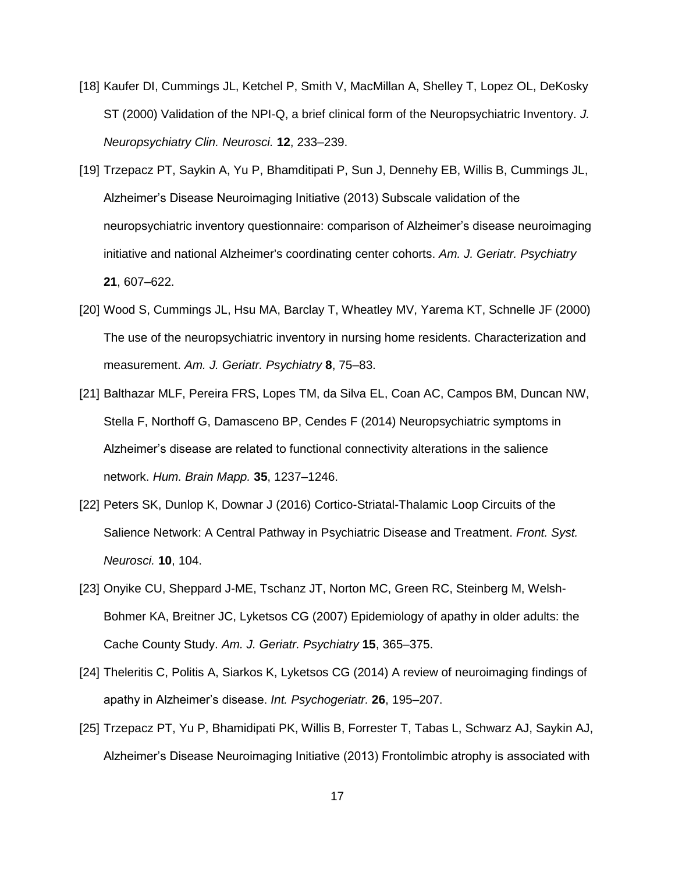- [18] [Kaufer DI, Cummings JL, Ketchel P, Smith V, MacMillan A, Shelley T, Lopez OL, DeKosky](http://paperpile.com/b/h2crtm/5kXuM)  [ST \(2000\) Validation of the NPI-Q, a brief clinical form of the Neuropsychiatric Inventory.](http://paperpile.com/b/h2crtm/5kXuM) *[J.](http://paperpile.com/b/h2crtm/5kXuM)  [Neuropsychiatry Clin. Neurosci.](http://paperpile.com/b/h2crtm/5kXuM)* **[12](http://paperpile.com/b/h2crtm/5kXuM)**[, 233–239.](http://paperpile.com/b/h2crtm/5kXuM)
- [19] [Trzepacz PT, Saykin A, Yu P, Bhamditipati P, Sun J, Dennehy EB, Willis B, Cummings JL,](http://paperpile.com/b/h2crtm/qDlG5)  [Alzheimer's Disease Neuroimaging Initiative \(2013\) Subscale validation of the](http://paperpile.com/b/h2crtm/qDlG5)  [neuropsychiatric inventory questionnaire: comparison of Alzheimer's disease neuroimaging](http://paperpile.com/b/h2crtm/qDlG5)  [initiative and national Alzheimer's coordinating center cohorts.](http://paperpile.com/b/h2crtm/qDlG5) *[Am. J. Geriatr. Psychiatry](http://paperpile.com/b/h2crtm/qDlG5)* **[21](http://paperpile.com/b/h2crtm/qDlG5)**[, 607–622.](http://paperpile.com/b/h2crtm/qDlG5)
- [20] [Wood S, Cummings JL, Hsu MA, Barclay T, Wheatley MV, Yarema KT, Schnelle JF \(2000\)](http://paperpile.com/b/h2crtm/0u2zV)  [The use of the neuropsychiatric inventory in nursing home residents. Characterization and](http://paperpile.com/b/h2crtm/0u2zV)  [measurement.](http://paperpile.com/b/h2crtm/0u2zV) *[Am. J. Geriatr. Psychiatry](http://paperpile.com/b/h2crtm/0u2zV)* **[8](http://paperpile.com/b/h2crtm/0u2zV)**[, 75–83.](http://paperpile.com/b/h2crtm/0u2zV)
- [21] [Balthazar MLF, Pereira FRS, Lopes TM, da Silva EL, Coan AC, Campos BM, Duncan NW,](http://paperpile.com/b/h2crtm/URKh)  [Stella F, Northoff G, Damasceno BP, Cendes F \(2014\) Neuropsychiatric symptoms in](http://paperpile.com/b/h2crtm/URKh)  [Alzheimer's disease are related to functional connectivity alterations in the salience](http://paperpile.com/b/h2crtm/URKh)  [network.](http://paperpile.com/b/h2crtm/URKh) *[Hum. Brain Mapp.](http://paperpile.com/b/h2crtm/URKh)* **[35](http://paperpile.com/b/h2crtm/URKh)**[, 1237–1246.](http://paperpile.com/b/h2crtm/URKh)
- [22] [Peters SK, Dunlop K, Downar J \(2016\) Cortico-Striatal-Thalamic Loop Circuits of the](http://paperpile.com/b/h2crtm/eFIq)  [Salience Network: A Central Pathway in Psychiatric Disease and Treatment.](http://paperpile.com/b/h2crtm/eFIq) *[Front. Syst.](http://paperpile.com/b/h2crtm/eFIq)  [Neurosci.](http://paperpile.com/b/h2crtm/eFIq)* **[10](http://paperpile.com/b/h2crtm/eFIq)**[, 104.](http://paperpile.com/b/h2crtm/eFIq)
- [23] [Onyike CU, Sheppard J-ME, Tschanz JT, Norton MC, Green RC, Steinberg M, Welsh-](http://paperpile.com/b/h2crtm/qAtBP)[Bohmer KA, Breitner JC, Lyketsos CG \(2007\) Epidemiology of apathy in older adults: the](http://paperpile.com/b/h2crtm/qAtBP)  [Cache County Study.](http://paperpile.com/b/h2crtm/qAtBP) *[Am. J. Geriatr. Psychiatry](http://paperpile.com/b/h2crtm/qAtBP)* **[15](http://paperpile.com/b/h2crtm/qAtBP)**[, 365–375.](http://paperpile.com/b/h2crtm/qAtBP)
- [24] [Theleritis C, Politis A, Siarkos K, Lyketsos CG \(2014\) A review of neuroimaging findings of](http://paperpile.com/b/h2crtm/iyxuU)  [apathy in Alzheimer's disease.](http://paperpile.com/b/h2crtm/iyxuU) *[Int. Psychogeriatr.](http://paperpile.com/b/h2crtm/iyxuU)* **[26](http://paperpile.com/b/h2crtm/iyxuU)**[, 195–207.](http://paperpile.com/b/h2crtm/iyxuU)
- [25] Trzepacz PT, Yu P, [Bhamidipati PK, Willis B, Forrester T, Tabas L, Schwarz AJ, Saykin AJ,](http://paperpile.com/b/h2crtm/fzo7f)  [Alzheimer's Disease Neuroimaging Initiative \(2013\) Frontolimbic atrophy is associated with](http://paperpile.com/b/h2crtm/fzo7f)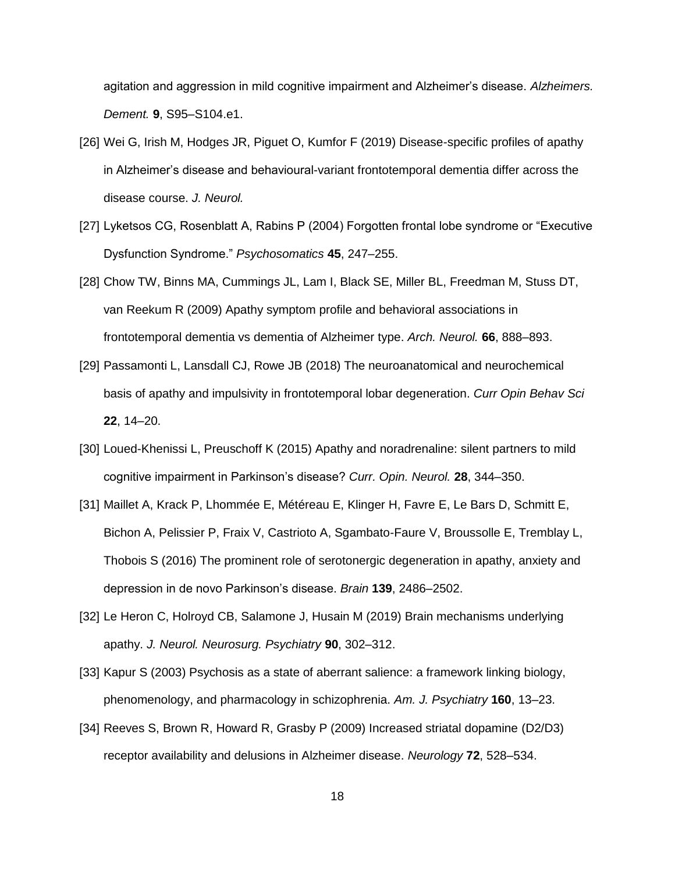[agitation and aggression in mild cognitive impairment and Alzheimer's disease.](http://paperpile.com/b/h2crtm/fzo7f) *[Alzheimers.](http://paperpile.com/b/h2crtm/fzo7f)  [Dement.](http://paperpile.com/b/h2crtm/fzo7f)* **[9](http://paperpile.com/b/h2crtm/fzo7f)**[, S95–S104.e1.](http://paperpile.com/b/h2crtm/fzo7f)

- [26] [Wei G, Irish M, Hodges JR, Piguet O, Kumfor F \(2019\) Disease-specific profiles of apathy](http://paperpile.com/b/h2crtm/TCWyg)  [in Alzheimer's disease and behavioural-variant frontotemporal dementia differ across the](http://paperpile.com/b/h2crtm/TCWyg)  [disease course.](http://paperpile.com/b/h2crtm/TCWyg) *[J. Neurol.](http://paperpile.com/b/h2crtm/TCWyg)*
- [27] [Lyketsos CG, Rosenblatt A, Rabins P \(2004\) Forgotten frontal lobe syndrome or "Executive](http://paperpile.com/b/h2crtm/r30mV)  [Dysfunction Syndrome."](http://paperpile.com/b/h2crtm/r30mV) *[Psychosomatics](http://paperpile.com/b/h2crtm/r30mV)* **[45](http://paperpile.com/b/h2crtm/r30mV)**[, 247–255.](http://paperpile.com/b/h2crtm/r30mV)
- [28] [Chow TW, Binns MA, Cummings JL, Lam I, Black SE, Miller BL, Freedman M, Stuss DT,](http://paperpile.com/b/h2crtm/u6Rf)  [van Reekum R \(2009\) Apathy symptom profile and behavioral associations in](http://paperpile.com/b/h2crtm/u6Rf)  [frontotemporal dementia vs dementia of Alzheimer](http://paperpile.com/b/h2crtm/u6Rf) type. *[Arch. Neurol.](http://paperpile.com/b/h2crtm/u6Rf)* **[66](http://paperpile.com/b/h2crtm/u6Rf)**[, 888–893.](http://paperpile.com/b/h2crtm/u6Rf)
- [29] [Passamonti L, Lansdall CJ, Rowe JB \(2018\) The neuroanatomical and neurochemical](http://paperpile.com/b/h2crtm/ywKot)  [basis of apathy and impulsivity in frontotemporal lobar degeneration.](http://paperpile.com/b/h2crtm/ywKot) *[Curr Opin Behav Sci](http://paperpile.com/b/h2crtm/ywKot)* **[22](http://paperpile.com/b/h2crtm/ywKot)**[, 14–20.](http://paperpile.com/b/h2crtm/ywKot)
- [30] [Loued-Khenissi L, Preuschoff K \(2015\) Apathy and noradrenaline: silent partners to mild](http://paperpile.com/b/h2crtm/pRxqp)  [cognitive impairment in Parkinson's disease?](http://paperpile.com/b/h2crtm/pRxqp) *[Curr. Opin. Neurol.](http://paperpile.com/b/h2crtm/pRxqp)* **[28](http://paperpile.com/b/h2crtm/pRxqp)**[, 344–350.](http://paperpile.com/b/h2crtm/pRxqp)
- [31] [Maillet A, Krack P, Lhommée E, Météreau E, Klinger H, Favre E, Le Bars D, Schmitt E,](http://paperpile.com/b/h2crtm/mZ89u)  [Bichon A, Pelissier P, Fraix V, Castrioto A, Sgambato-Faure V, Broussolle E, Tremblay L,](http://paperpile.com/b/h2crtm/mZ89u)  [Thobois S \(2016\) The prominent role of serotonergic degeneration in apathy, anxiety and](http://paperpile.com/b/h2crtm/mZ89u)  [depression in de novo Parkinson's disease.](http://paperpile.com/b/h2crtm/mZ89u) *[Brain](http://paperpile.com/b/h2crtm/mZ89u)* **[139](http://paperpile.com/b/h2crtm/mZ89u)**[, 2486–2502.](http://paperpile.com/b/h2crtm/mZ89u)
- [32] [Le Heron C, Holroyd CB, Salamone J, Husain M \(2019\) Brain mechanisms underlying](http://paperpile.com/b/h2crtm/UBWj)  [apathy.](http://paperpile.com/b/h2crtm/UBWj) *[J. Neurol. Neurosurg. Psychiatry](http://paperpile.com/b/h2crtm/UBWj)* **[90](http://paperpile.com/b/h2crtm/UBWj)**[, 302–312.](http://paperpile.com/b/h2crtm/UBWj)
- [33] Kapur [S \(2003\) Psychosis as a state of aberrant salience: a framework linking biology,](http://paperpile.com/b/h2crtm/KpkD)  [phenomenology, and pharmacology in schizophrenia.](http://paperpile.com/b/h2crtm/KpkD) *[Am. J. Psychiatry](http://paperpile.com/b/h2crtm/KpkD)* **[160](http://paperpile.com/b/h2crtm/KpkD)**[, 13–23.](http://paperpile.com/b/h2crtm/KpkD)
- [34] [Reeves S, Brown R, Howard R, Grasby P \(2009\) Increased striatal dopamine \(D2/D3\)](http://paperpile.com/b/h2crtm/3RjU4)  [receptor availability and delusions in Alzheimer disease.](http://paperpile.com/b/h2crtm/3RjU4) *[Neurology](http://paperpile.com/b/h2crtm/3RjU4)* **[72](http://paperpile.com/b/h2crtm/3RjU4)**[, 528–534.](http://paperpile.com/b/h2crtm/3RjU4)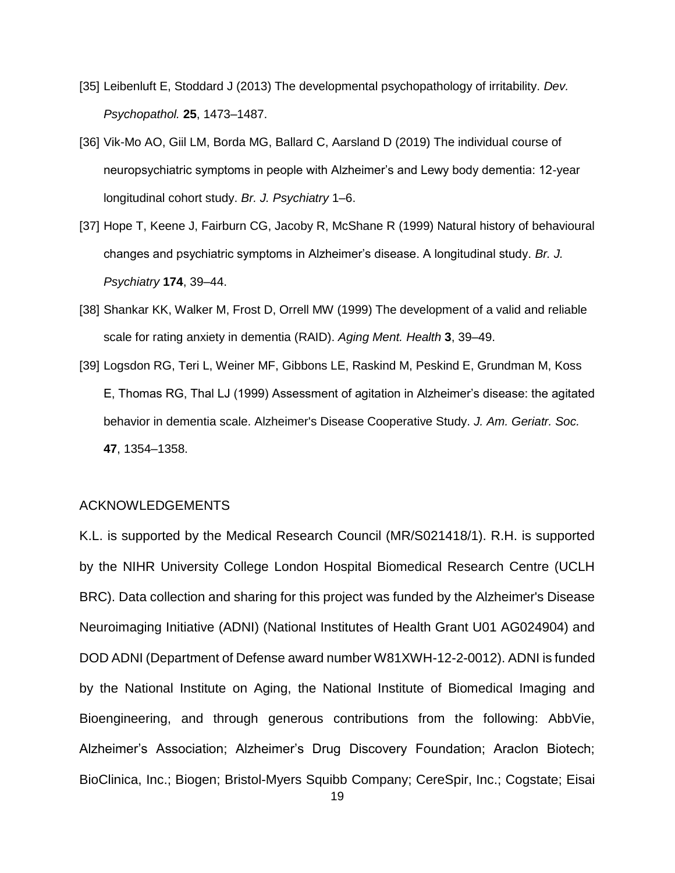- [35] [Leibenluft E, Stoddard J \(2013\) The developmental psychopathology of irritability.](http://paperpile.com/b/h2crtm/D9q5) *[Dev.](http://paperpile.com/b/h2crtm/D9q5)  [Psychopathol.](http://paperpile.com/b/h2crtm/D9q5)* **[25](http://paperpile.com/b/h2crtm/D9q5)**[, 1473–1487.](http://paperpile.com/b/h2crtm/D9q5)
- [36] [Vik-Mo AO, Giil LM, Borda MG, Ballard C, Aarsland D \(2019\) The individual course of](http://paperpile.com/b/h2crtm/QnRfq)  [neuropsychiatric symptoms in people with Alzheimer's and Lewy body dementia: 12-year](http://paperpile.com/b/h2crtm/QnRfq)  [longitudinal cohort study.](http://paperpile.com/b/h2crtm/QnRfq) *[Br. J. Psychiatry](http://paperpile.com/b/h2crtm/QnRfq)* [1–6.](http://paperpile.com/b/h2crtm/QnRfq)
- [37] [Hope T, Keene J, Fairburn CG, Jacoby R, McShane R \(1999\) Natural history of behavioural](http://paperpile.com/b/h2crtm/eJ16W) [changes and psychiatric symptoms in Alzheimer's disease. A longitudinal study.](http://paperpile.com/b/h2crtm/eJ16W) *[Br. J.](http://paperpile.com/b/h2crtm/eJ16W)  [Psychiatry](http://paperpile.com/b/h2crtm/eJ16W)* **[174](http://paperpile.com/b/h2crtm/eJ16W)**[, 39–44.](http://paperpile.com/b/h2crtm/eJ16W)
- [38] [Shankar KK, Walker M, Frost D, Orrell MW \(1999\) The development of a valid and reliable](http://paperpile.com/b/h2crtm/AaNge)  [scale for rating anxiety in dementia \(RAID\).](http://paperpile.com/b/h2crtm/AaNge) *[Aging Ment. Health](http://paperpile.com/b/h2crtm/AaNge)* **[3](http://paperpile.com/b/h2crtm/AaNge)**[, 39–49.](http://paperpile.com/b/h2crtm/AaNge)
- [39] [Logsdon RG, Teri L, Weiner MF, Gibbons LE, Raskind M, Peskind E, Grundman M, Koss](http://paperpile.com/b/h2crtm/Jq2oJ)  [E, Thomas RG, Thal LJ \(1999\) Assessment of agitation in Alzheimer's disease: the agitated](http://paperpile.com/b/h2crtm/Jq2oJ)  [behavior in dementia scale. Alzheimer's Disease Cooperative Study.](http://paperpile.com/b/h2crtm/Jq2oJ) *[J. Am. Geriatr. Soc.](http://paperpile.com/b/h2crtm/Jq2oJ)* **[47](http://paperpile.com/b/h2crtm/Jq2oJ)**[, 1354–1358.](http://paperpile.com/b/h2crtm/Jq2oJ)

#### ACKNOWLEDGEMENTS

K.L. is supported by the Medical Research Council (MR/S021418/1). R.H. is supported by the NIHR University College London Hospital Biomedical Research Centre (UCLH BRC). Data collection and sharing for this project was funded by the Alzheimer's Disease Neuroimaging Initiative (ADNI) (National Institutes of Health Grant U01 AG024904) and DOD ADNI (Department of Defense award number W81XWH-12-2-0012). ADNI is funded by the National Institute on Aging, the National Institute of Biomedical Imaging and Bioengineering, and through generous contributions from the following: AbbVie, Alzheimer's Association; Alzheimer's Drug Discovery Foundation; Araclon Biotech; BioClinica, Inc.; Biogen; Bristol-Myers Squibb Company; CereSpir, Inc.; Cogstate; Eisai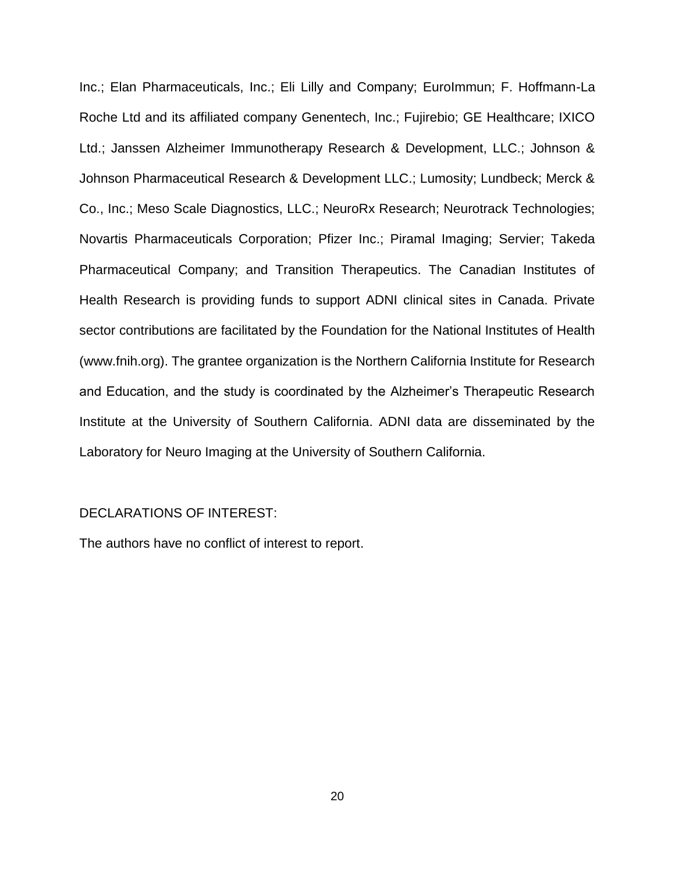Inc.; Elan Pharmaceuticals, Inc.; Eli Lilly and Company; EuroImmun; F. Hoffmann-La Roche Ltd and its affiliated company Genentech, Inc.; Fujirebio; GE Healthcare; IXICO Ltd.; Janssen Alzheimer Immunotherapy Research & Development, LLC.; Johnson & Johnson Pharmaceutical Research & Development LLC.; Lumosity; Lundbeck; Merck & Co., Inc.; Meso Scale Diagnostics, LLC.; NeuroRx Research; Neurotrack Technologies; Novartis Pharmaceuticals Corporation; Pfizer Inc.; Piramal Imaging; Servier; Takeda Pharmaceutical Company; and Transition Therapeutics. The Canadian Institutes of Health Research is providing funds to support ADNI clinical sites in Canada. Private sector contributions are facilitated by the Foundation for the National Institutes of Health (www.fnih.org). The grantee organization is the Northern California Institute for Research and Education, and the study is coordinated by the Alzheimer's Therapeutic Research Institute at the University of Southern California. ADNI data are disseminated by the Laboratory for Neuro Imaging at the University of Southern California.

### DECLARATIONS OF INTEREST:

The authors have no conflict of interest to report.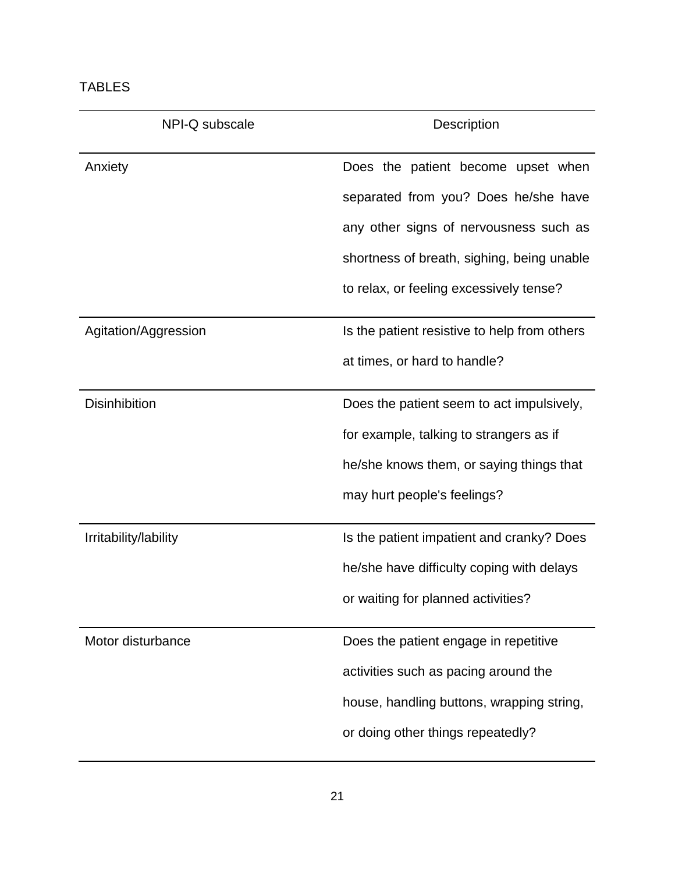| L<br>□ |  |
|--------|--|
|--------|--|

| NPI-Q subscale        | Description                                  |  |  |  |  |
|-----------------------|----------------------------------------------|--|--|--|--|
| Anxiety               | Does the patient become upset when           |  |  |  |  |
|                       | separated from you? Does he/she have         |  |  |  |  |
|                       | any other signs of nervousness such as       |  |  |  |  |
|                       | shortness of breath, sighing, being unable   |  |  |  |  |
|                       | to relax, or feeling excessively tense?      |  |  |  |  |
| Agitation/Aggression  | Is the patient resistive to help from others |  |  |  |  |
|                       | at times, or hard to handle?                 |  |  |  |  |
| <b>Disinhibition</b>  | Does the patient seem to act impulsively,    |  |  |  |  |
|                       | for example, talking to strangers as if      |  |  |  |  |
|                       | he/she knows them, or saying things that     |  |  |  |  |
|                       | may hurt people's feelings?                  |  |  |  |  |
| Irritability/lability | Is the patient impatient and cranky? Does    |  |  |  |  |
|                       | he/she have difficulty coping with delays    |  |  |  |  |
|                       | or waiting for planned activities?           |  |  |  |  |
| Motor disturbance     | Does the patient engage in repetitive        |  |  |  |  |
|                       | activities such as pacing around the         |  |  |  |  |
|                       | house, handling buttons, wrapping string,    |  |  |  |  |
|                       | or doing other things repeatedly?            |  |  |  |  |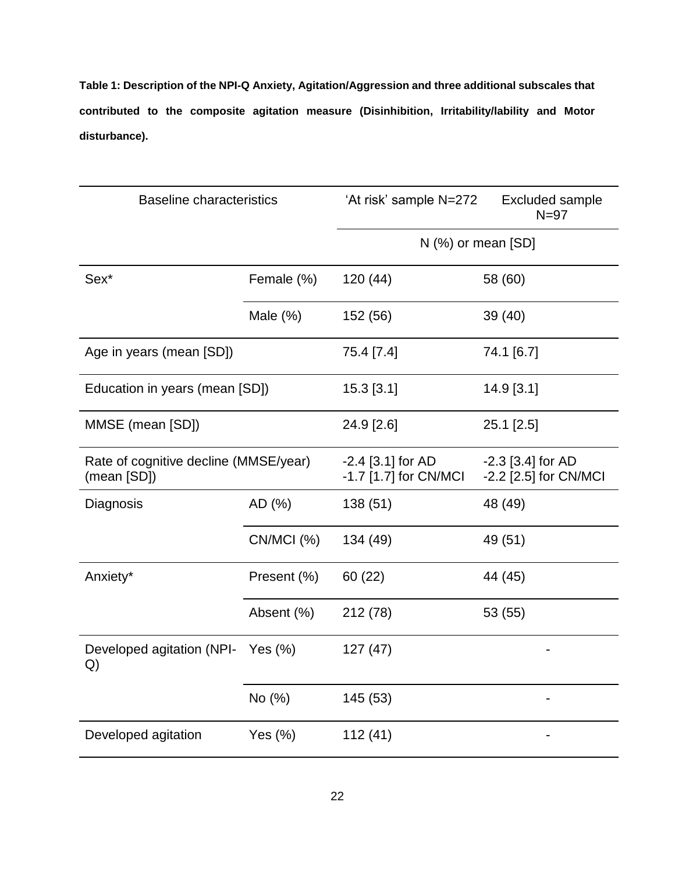**Table 1: Description of the NPI-Q Anxiety, Agitation/Aggression and three additional subscales that contributed to the composite agitation measure (Disinhibition, Irritability/lability and Motor disturbance).**

| <b>Baseline characteristics</b>                      |             | 'At risk' sample N=272                       | <b>Excluded sample</b><br>$N=97$             |  |  |  |  |
|------------------------------------------------------|-------------|----------------------------------------------|----------------------------------------------|--|--|--|--|
|                                                      |             | $N$ (%) or mean [SD]                         |                                              |  |  |  |  |
| Sex <sup>*</sup>                                     | Female (%)  | 120(44)                                      | 58 (60)                                      |  |  |  |  |
|                                                      | Male $(\%)$ | 152 (56)                                     | 39 (40)                                      |  |  |  |  |
| Age in years (mean [SD])                             |             | 75.4 [7.4]                                   | 74.1 [6.7]                                   |  |  |  |  |
| Education in years (mean [SD])                       |             | 15.3 [3.1]                                   | 14.9 [3.1]                                   |  |  |  |  |
| MMSE (mean [SD])                                     |             | 24.9 [2.6]                                   | 25.1 [2.5]                                   |  |  |  |  |
| Rate of cognitive decline (MMSE/year)<br>(mean [SD]) |             | $-2.4$ [3.1] for AD<br>-1.7 [1.7] for CN/MCI | $-2.3$ [3.4] for AD<br>-2.2 [2.5] for CN/MCI |  |  |  |  |
| Diagnosis                                            | AD (%)      | 138(51)                                      | 48 (49)                                      |  |  |  |  |
|                                                      | CN/MCI (%)  | 134 (49)                                     | 49 (51)                                      |  |  |  |  |
| Anxiety*                                             | Present (%) | 60(22)                                       | 44 (45)                                      |  |  |  |  |
|                                                      | Absent (%)  | 212 (78)                                     | 53 (55)                                      |  |  |  |  |
| Developed agitation (NPI-<br>Yes $(\%)$<br>Q)        |             | 127(47)                                      |                                              |  |  |  |  |
|                                                      | No (%)      | 145 (53)                                     |                                              |  |  |  |  |
| Developed agitation                                  | Yes $(\%)$  | 112(41)                                      |                                              |  |  |  |  |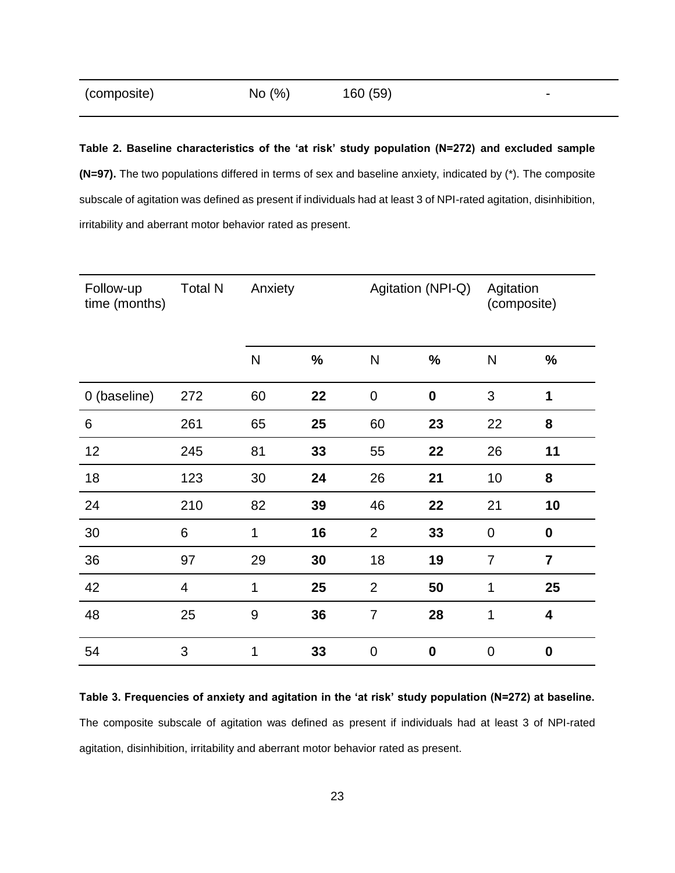| (composite) | No $(\%)$ | 160 (59) |  |
|-------------|-----------|----------|--|
|-------------|-----------|----------|--|

**Table 2. Baseline characteristics of the 'at risk' study population (N=272) and excluded sample (N=97).** The two populations differed in terms of sex and baseline anxiety, indicated by (\*). The composite subscale of agitation was defined as present if individuals had at least 3 of NPI-rated agitation, disinhibition, irritability and aberrant motor behavior rated as present.

| Follow-up<br>time (months) | <b>Total N</b> | Agitation (NPI-Q)<br>Anxiety |      | Agitation<br>(composite) |             |                |                  |
|----------------------------|----------------|------------------------------|------|--------------------------|-------------|----------------|------------------|
|                            |                | $\mathsf{N}$                 | $\%$ | ${\sf N}$                | $\%$        | $\mathsf{N}$   | $\%$             |
| 0 (baseline)               | 272            | 60                           | 22   | $\mathbf 0$              | $\mathbf 0$ | 3              | 1                |
| $\,6\,$                    | 261            | 65                           | 25   | 60                       | 23          | 22             | 8                |
| 12                         | 245            | 81                           | 33   | 55                       | 22          | 26             | 11               |
| 18                         | 123            | 30                           | 24   | 26                       | 21          | 10             | 8                |
| 24                         | 210            | 82                           | 39   | 46                       | 22          | 21             | 10               |
| 30                         | 6              | 1                            | 16   | $\overline{2}$           | 33          | $\pmb{0}$      | $\pmb{0}$        |
| 36                         | 97             | 29                           | 30   | 18                       | 19          | $\overline{7}$ | $\overline{7}$   |
| 42                         | 4              | 1                            | 25   | $\overline{2}$           | 50          | 1              | 25               |
| 48                         | 25             | $9\,$                        | 36   | $\overline{7}$           | 28          | 1              | 4                |
| 54                         | 3              | 1                            | 33   | $\overline{0}$           | $\bf{0}$    | $\mathbf 0$    | $\boldsymbol{0}$ |

**Table 3. Frequencies of anxiety and agitation in the 'at risk' study population (N=272) at baseline.**  The composite subscale of agitation was defined as present if individuals had at least 3 of NPI-rated agitation, disinhibition, irritability and aberrant motor behavior rated as present.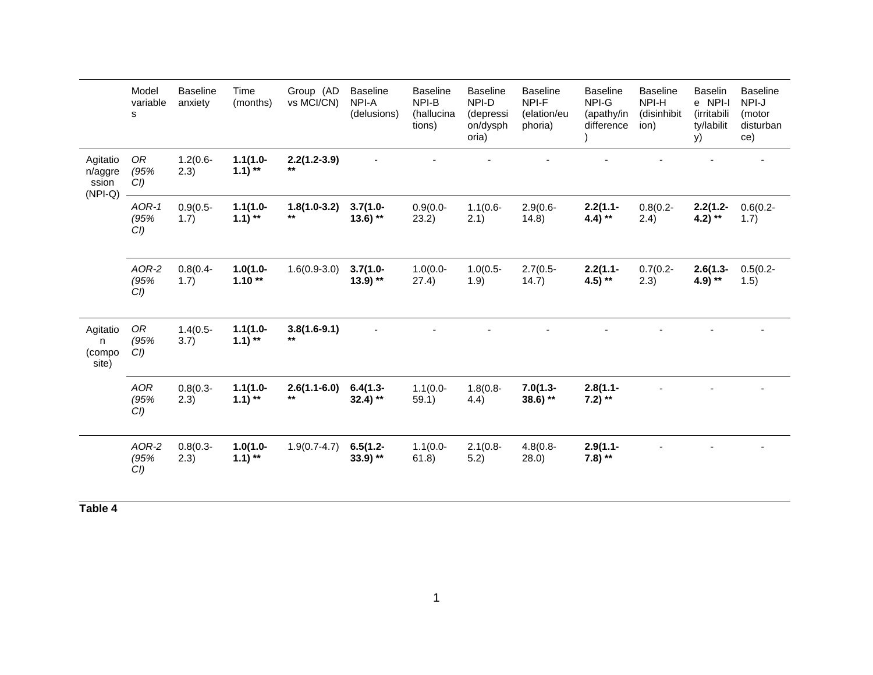|                                           | Model<br>variable<br>s       | <b>Baseline</b><br>anxiety | Time<br>(months)          | Group (AD<br>vs MCI/CN) | <b>Baseline</b><br>NPI-A<br>(delusions) | <b>Baseline</b><br>NPI-B<br>(hallucina<br>tions) | <b>Baseline</b><br>NPI-D<br>(depressi<br>on/dysph<br>oria) | <b>Baseline</b><br>NPI-F<br>(elation/eu<br>phoria) | <b>Baseline</b><br>NPI-G<br>(apathy/in<br>difference | <b>Baseline</b><br>NPI-H<br>(disinhibit<br>ion) | <b>Baselin</b><br>e NPI-I<br>(irritabili<br>ty/labilit<br>y) | <b>Baseline</b><br>NPI-J<br>(motor<br>disturban<br>ce) |
|-------------------------------------------|------------------------------|----------------------------|---------------------------|-------------------------|-----------------------------------------|--------------------------------------------------|------------------------------------------------------------|----------------------------------------------------|------------------------------------------------------|-------------------------------------------------|--------------------------------------------------------------|--------------------------------------------------------|
| Agitatio<br>n/aggre<br>ssion<br>$(NPI-Q)$ | OR<br>(95%<br>CI)            | $1.2(0.6 -$<br>2.3)        | $1.1(1.0 -$<br>$1.1)$ **  | $2.2(1.2-3.9)$<br>$***$ |                                         |                                                  |                                                            |                                                    |                                                      |                                                 |                                                              |                                                        |
|                                           | $AOR-1$<br>(95%<br>$CI$ )    | $0.9(0.5 -$<br>1.7)        | $1.1(1.0 -$<br>$1.1$ ) ** | $1.8(1.0-3.2)$<br>$***$ | $3.7(1.0 -$<br>$13.6$ ) **              | $0.9(0.0 -$<br>23.2)                             | $1.1(0.6 -$<br>2.1)                                        | $2.9(0.6 -$<br>14.8)                               | $2.2(1.1 -$<br>4.4) **                               | $0.8(0.2 -$<br>2.4)                             | $2.2(1.2 -$<br>4.2) **                                       | $0.6(0.2 -$<br>1.7)                                    |
|                                           | AOR-2<br>(95%<br>$CI$ )      | $0.8(0.4 -$<br>1.7)        | $1.0(1.0 -$<br>$1.10**$   | $1.6(0.9-3.0)$          | $3.7(1.0 -$<br>$13.9$ **                | $1.0(0.0 -$<br>27.4)                             | $1.0(0.5 -$<br>1.9)                                        | $2.7(0.5 -$<br>14.7)                               | $2.2(1.1 -$<br>4.5) **                               | $0.7(0.2 -$<br>2.3)                             | $2.6(1.3 -$<br>4.9) **                                       | $0.5(0.2 -$<br>1.5)                                    |
| Agitatio<br>n<br>(compo<br>site)          | OR<br>(95%<br>$CI$ )         | $1.4(0.5 -$<br>3.7)        | $1.1(1.0 -$<br>$1.1)$ **  | $3.8(1.6-9.1)$<br>$***$ |                                         |                                                  |                                                            |                                                    |                                                      |                                                 |                                                              |                                                        |
|                                           | <b>AOR</b><br>(95%<br>$CI$ ) | $0.8(0.3 -$<br>(2.3)       | $1.1(1.0 -$<br>$1.1$ ) ** | $2.6(1.1-6.0)$<br>$***$ | $6.4(1.3 -$<br>$32.4$ ) **              | $1.1(0.0 -$<br>59.1)                             | $1.8(0.8 -$<br>4.4)                                        | $7.0(1.3 -$<br>$38.6$ ) **                         | $2.8(1.1 -$<br>7.2) $**$                             |                                                 |                                                              |                                                        |
|                                           | AOR-2<br>(95%<br>CI)         | $0.8(0.3 -$<br>2.3)        | $1.0(1.0 -$<br>$1.1$ ) ** | $1.9(0.7-4.7)$          | $6.5(1.2 -$<br>$33.9$ **                | $1.1(0.0 -$<br>61.8)                             | $2.1(0.8 -$<br>5.2)                                        | $4.8(0.8 -$<br>28.0)                               | $2.9(1.1 -$<br>7.8) $**$                             |                                                 |                                                              |                                                        |

**Table 4**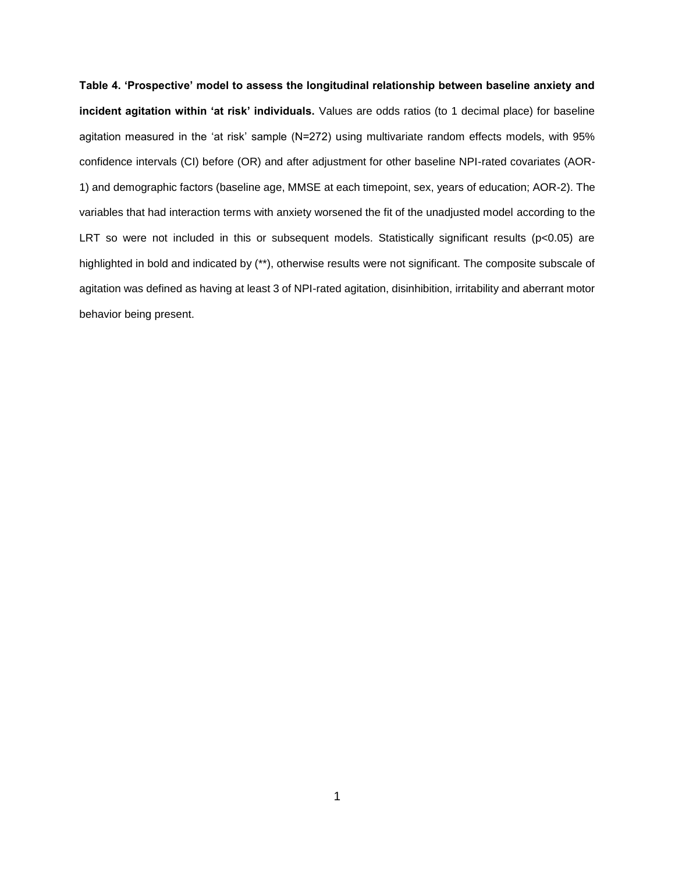**Table 4. 'Prospective' model to assess the longitudinal relationship between baseline anxiety and incident agitation within 'at risk' individuals.** Values are odds ratios (to 1 decimal place) for baseline agitation measured in the 'at risk' sample (N=272) using multivariate random effects models, with 95% confidence intervals (CI) before (OR) and after adjustment for other baseline NPI-rated covariates (AOR-1) and demographic factors (baseline age, MMSE at each timepoint, sex, years of education; AOR-2). The variables that had interaction terms with anxiety worsened the fit of the unadjusted model according to the LRT so were not included in this or subsequent models. Statistically significant results (p<0.05) are highlighted in bold and indicated by (\*\*), otherwise results were not significant. The composite subscale of agitation was defined as having at least 3 of NPI-rated agitation, disinhibition, irritability and aberrant motor behavior being present.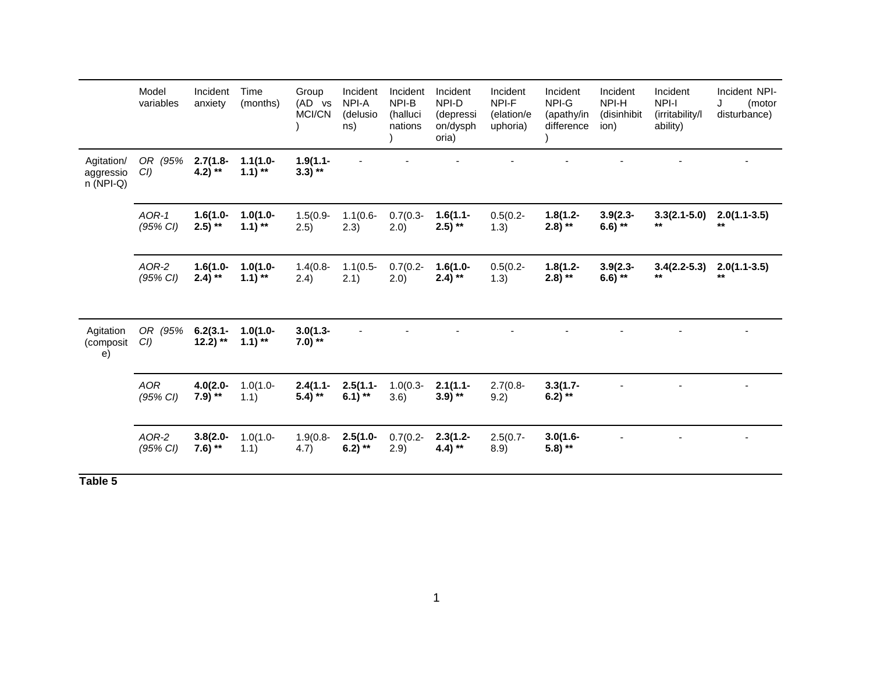|                                       | Model<br>variables     | Incident<br>anxiety        | Time<br>(months)          | Group<br>(AD vs<br><b>MCI/CN</b> | Incident<br>NPI-A<br>(delusio<br>ns) | Incident<br>NPI-B<br>(halluci<br>nations | Incident<br>NPI-D<br>(depressi<br>on/dysph<br>oria) | Incident<br>NPI-F<br>(elation/e<br>uphoria) | Incident<br>NPI-G<br>(apathy/in<br>difference | Incident<br>NPI-H<br>(disinhibit<br>ion) | Incident<br>NPI-I<br>(irritability/l<br>ability) | Incident NPI-<br>J<br>(motor<br>disturbance) |
|---------------------------------------|------------------------|----------------------------|---------------------------|----------------------------------|--------------------------------------|------------------------------------------|-----------------------------------------------------|---------------------------------------------|-----------------------------------------------|------------------------------------------|--------------------------------------------------|----------------------------------------------|
| Agitation/<br>aggressio<br>$n(NPI-Q)$ | OR (95%<br>CI          | $2.7(1.8 -$<br>4.2) **     | $1.1(1.0 -$<br>$1.1$ ) ** | $1.9(1.1 -$<br>$3.3)$ **         |                                      |                                          |                                                     |                                             |                                               |                                          |                                                  |                                              |
|                                       | $AOR-1$<br>(95% CI)    | $1.6(1.0 -$<br>$2.5$ ) **  | $1.0(1.0 -$<br>$1.1$ ) ** | $1.5(0.9 -$<br>2.5)              | $1.1(0.6 -$<br>2.3)                  | $0.7(0.3 -$<br>2.0)                      | $1.6(1.1 -$<br>$2.5$ ) **                           | $0.5(0.2 -$<br>1.3)                         | $1.8(1.2 -$<br>$2.8)$ **                      | $3.9(2.3 -$<br>6.6) **                   | $3.3(2.1 - 5.0)$<br>$***$                        | $2.0(1.1-3.5)$<br>$**$                       |
|                                       | AOR-2<br>(95% CI)      | $1.6(1.0 -$<br>$2.4)$ **   | $1.0(1.0 -$<br>$1.1$ ) ** | $1.4(0.8 -$<br>2.4)              | $1.1(0.5 -$<br>2.1)                  | $0.7(0.2 -$<br>2.0)                      | $1.6(1.0 -$<br>$2.4)$ **                            | $0.5(0.2 -$<br>1.3)                         | $1.8(1.2 -$<br>$(2.8)$ **                     | $3.9(2.3 -$<br>6.6) **                   | $3.4(2.2-5.3)$<br>$***$                          | $2.0(1.1-3.5)$<br>$**$                       |
| Agitation<br>(composit<br>e)          | OR (95%<br>$CI$ )      | $6.2(3.1 -$<br>$12.2$ ) ** | $1.0(1.0 -$<br>$1.1$ ) ** | $3.0(1.3 -$<br>7.0) $**$         |                                      |                                          |                                                     |                                             |                                               |                                          |                                                  |                                              |
|                                       | <b>AOR</b><br>(95% CI) | $4.0(2.0 -$<br>$7.9$ ) **  | $1.0(1.0 -$<br>1.1)       | $2.4(1.1 -$<br>$5.4$ ) **        | $2.5(1.1 -$<br>6.1) **               | $1.0(0.3 -$<br>3.6)                      | $2.1(1.1 -$<br>$3.9$ ) **                           | $2.7(0.8 -$<br>9.2)                         | $3.3(1.7 -$<br>6.2) **                        |                                          |                                                  |                                              |
|                                       | AOR-2<br>(95% CI)      | $3.8(2.0 -$<br>7.6) **     | $1.0(1.0 -$<br>1.1)       | $1.9(0.8 -$<br>4.7)              | $2.5(1.0 -$<br>6.2) **               | $0.7(0.2 -$<br>2.9)                      | $2.3(1.2 -$<br>4.4) **                              | $2.5(0.7 -$<br>8.9)                         | $3.0(1.6 -$<br>$5.8$ ) **                     |                                          |                                                  |                                              |

**Table 5**